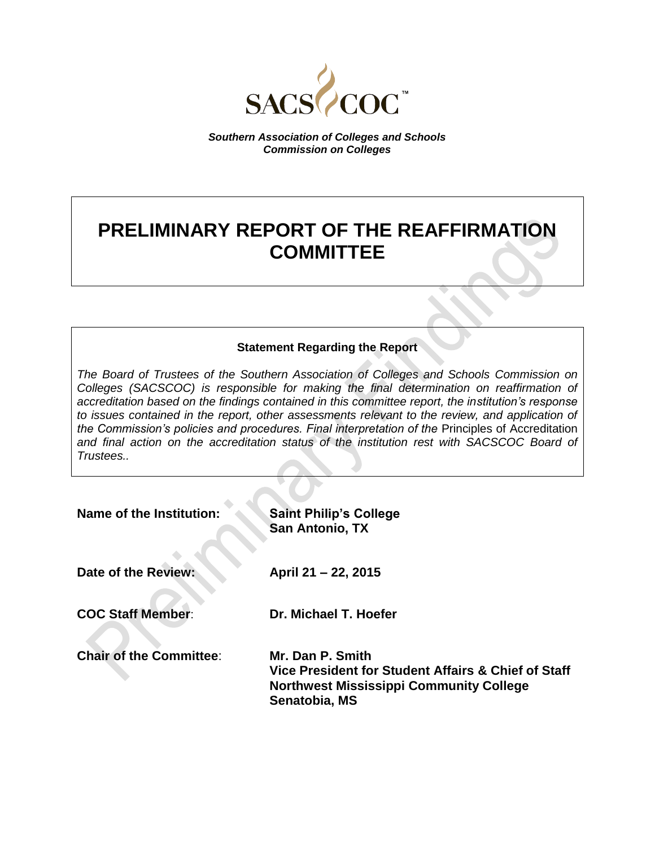

*Southern Association of Colleges and Schools Commission on Colleges*

# **PRELIMINARY REPORT OF THE REAFFIRMATION COMMITTEE**

# **Statement Regarding the Report**

*The Board of Trustees of the Southern Association of Colleges and Schools Commission on Colleges (SACSCOC) is responsible for making the final determination on reaffirmation of accreditation based on the findings contained in this committee report, the institution's response to issues contained in the report, other assessments relevant to the review, and application of the Commission's policies and procedures. Final interpretation of the* Principles of Accreditation *and final action on the accreditation status of the institution rest with SACSCOC Board of Trustees..*

| Name of the Institution:       | <b>Saint Philip's College</b><br><b>San Antonio, TX</b>                                                                                    |
|--------------------------------|--------------------------------------------------------------------------------------------------------------------------------------------|
| Date of the Review:            | April 21 - 22, 2015                                                                                                                        |
| <b>COC Staff Member:</b>       | Dr. Michael T. Hoefer                                                                                                                      |
| <b>Chair of the Committee:</b> | Mr. Dan P. Smith<br>Vice President for Student Affairs & Chief of Staff<br><b>Northwest Mississippi Community College</b><br>Senatobia, MS |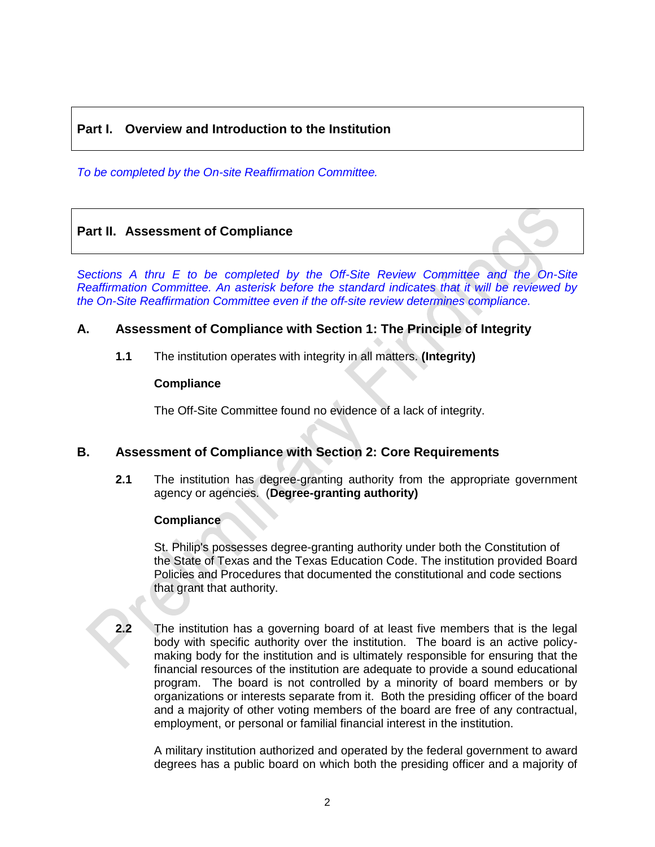# **Part I. Overview and Introduction to the Institution**

*To be completed by the On-site Reaffirmation Committee.*

# **Part II. Assessment of Compliance**

*Sections A thru E to be completed by the Off-Site Review Committee and the On-Site Reaffirmation Committee. An asterisk before the standard indicates that it will be reviewed by the On-Site Reaffirmation Committee even if the off-site review determines compliance.*

# **A. Assessment of Compliance with Section 1: The Principle of Integrity**

**1.1** The institution operates with integrity in all matters. **(Integrity)**

#### **Compliance**

The Off-Site Committee found no evidence of a lack of integrity.

# **B. Assessment of Compliance with Section 2: Core Requirements**

**2.1** The institution has degree-granting authority from the appropriate government agency or agencies. (**Degree-granting authority)**

# **Compliance**

St. Philip's possesses degree-granting authority under both the Constitution of the State of Texas and the Texas Education Code. The institution provided Board Policies and Procedures that documented the constitutional and code sections that grant that authority.

**2.2** The institution has a governing board of at least five members that is the legal body with specific authority over the institution. The board is an active policymaking body for the institution and is ultimately responsible for ensuring that the financial resources of the institution are adequate to provide a sound educational program. The board is not controlled by a minority of board members or by organizations or interests separate from it. Both the presiding officer of the board and a majority of other voting members of the board are free of any contractual, employment, or personal or familial financial interest in the institution.

A military institution authorized and operated by the federal government to award degrees has a public board on which both the presiding officer and a majority of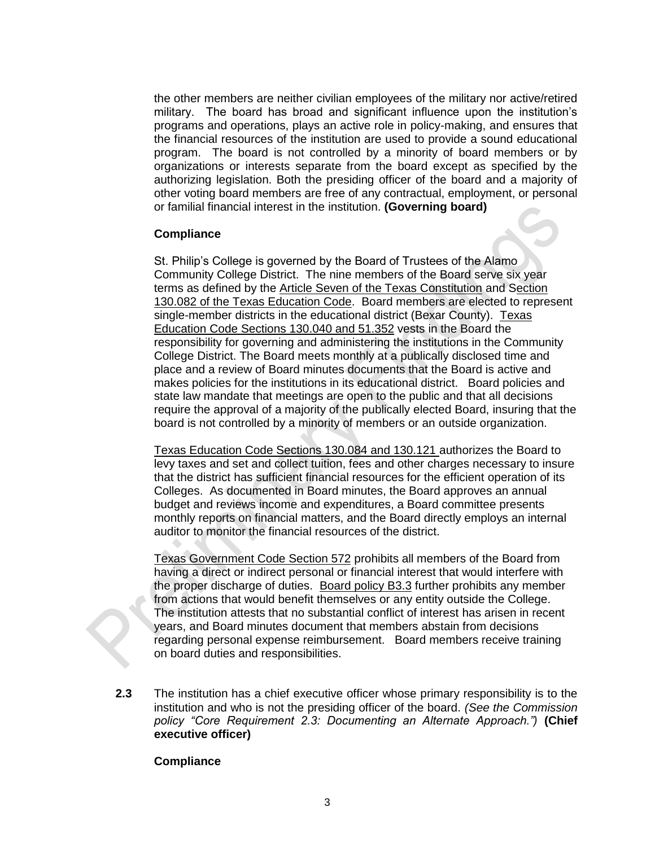the other members are neither civilian employees of the military nor active/retired military. The board has broad and significant influence upon the institution's programs and operations, plays an active role in policy-making, and ensures that the financial resources of the institution are used to provide a sound educational program. The board is not controlled by a minority of board members or by organizations or interests separate from the board except as specified by the authorizing legislation. Both the presiding officer of the board and a majority of other voting board members are free of any contractual, employment, or personal or familial financial interest in the institution. **(Governing board)**

#### **Compliance**

St. Philip's College is governed by the Board of Trustees of the Alamo Community College District. The nine members of the Board serve six year terms as defined by the Article Seven of the Texas Constitution and Section 130.082 of the Texas Education Code. Board members are elected to represent single-member districts in the educational district (Bexar County). Texas Education Code Sections 130.040 and 51.352 vests in the Board the responsibility for governing and administering the institutions in the Community College District. The Board meets monthly at a publically disclosed time and place and a review of Board minutes documents that the Board is active and makes policies for the institutions in its educational district. Board policies and state law mandate that meetings are open to the public and that all decisions require the approval of a majority of the publically elected Board, insuring that the board is not controlled by a minority of members or an outside organization.

Texas Education Code Sections 130.084 and 130.121 authorizes the Board to levy taxes and set and collect tuition, fees and other charges necessary to insure that the district has sufficient financial resources for the efficient operation of its Colleges. As documented in Board minutes, the Board approves an annual budget and reviews income and expenditures, a Board committee presents monthly reports on financial matters, and the Board directly employs an internal auditor to monitor the financial resources of the district.

Texas Government Code Section 572 prohibits all members of the Board from having a direct or indirect personal or financial interest that would interfere with the proper discharge of duties. Board policy B3.3 further prohibits any member from actions that would benefit themselves or any entity outside the College. The institution attests that no substantial conflict of interest has arisen in recent years, and Board minutes document that members abstain from decisions regarding personal expense reimbursement. Board members receive training on board duties and responsibilities.

**2.3** The institution has a chief executive officer whose primary responsibility is to the institution and who is not the presiding officer of the board. *(See the Commission policy "Core Requirement 2.3: Documenting an Alternate Approach.")* **(Chief executive officer)**

# **Compliance**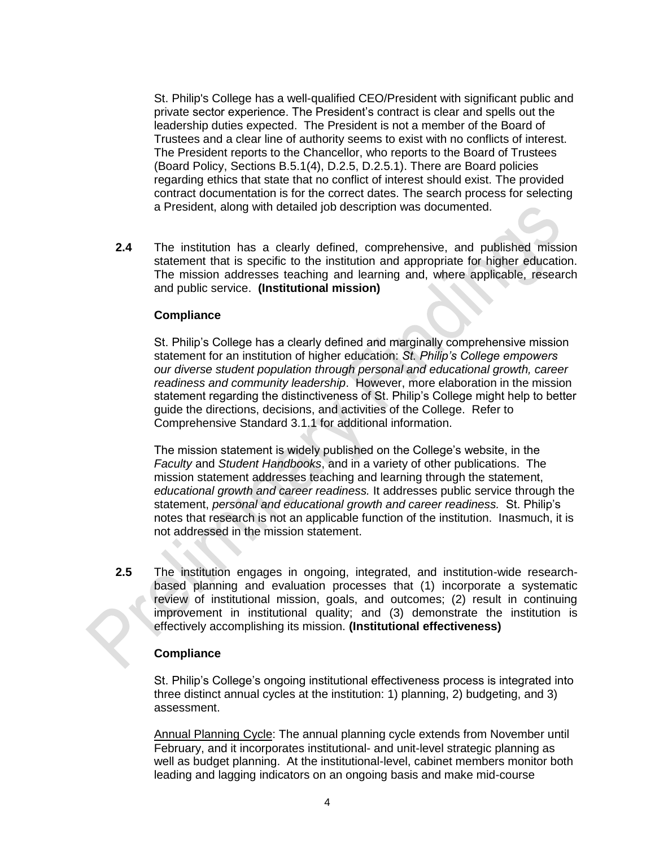St. Philip's College has a well-qualified CEO/President with significant public and private sector experience. The President's contract is clear and spells out the leadership duties expected. The President is not a member of the Board of Trustees and a clear line of authority seems to exist with no conflicts of interest. The President reports to the Chancellor, who reports to the Board of Trustees (Board Policy, Sections B.5.1(4), D.2.5, D.2.5.1). There are Board policies regarding ethics that state that no conflict of interest should exist. The provided contract documentation is for the correct dates. The search process for selecting a President, along with detailed job description was documented.

**2.4** The institution has a clearly defined, comprehensive, and published mission statement that is specific to the institution and appropriate for higher education. The mission addresses teaching and learning and, where applicable, research and public service. **(Institutional mission)**

#### **Compliance**

St. Philip's College has a clearly defined and marginally comprehensive mission statement for an institution of higher education: *St. Philip's College empowers our diverse student population through personal and educational growth, career readiness and community leadership*. However, more elaboration in the mission statement regarding the distinctiveness of St. Philip's College might help to better guide the directions, decisions, and activities of the College. Refer to Comprehensive Standard 3.1.1 for additional information.

The mission statement is widely published on the College's website, in the *Faculty* and *Student Handbooks*, and in a variety of other publications. The mission statement addresses teaching and learning through the statement, *educational growth and career readiness.* It addresses public service through the statement, *personal and educational growth and career readiness.* St. Philip's notes that research is not an applicable function of the institution. Inasmuch, it is not addressed in the mission statement.

**2.5** The institution engages in ongoing, integrated, and institution-wide researchbased planning and evaluation processes that (1) incorporate a systematic review of institutional mission, goals, and outcomes; (2) result in continuing improvement in institutional quality; and (3) demonstrate the institution is effectively accomplishing its mission. **(Institutional effectiveness)**

#### **Compliance**

St. Philip's College's ongoing institutional effectiveness process is integrated into three distinct annual cycles at the institution: 1) planning, 2) budgeting, and 3) assessment.

Annual Planning Cycle: The annual planning cycle extends from November until February, and it incorporates institutional- and unit-level strategic planning as well as budget planning. At the institutional-level, cabinet members monitor both leading and lagging indicators on an ongoing basis and make mid-course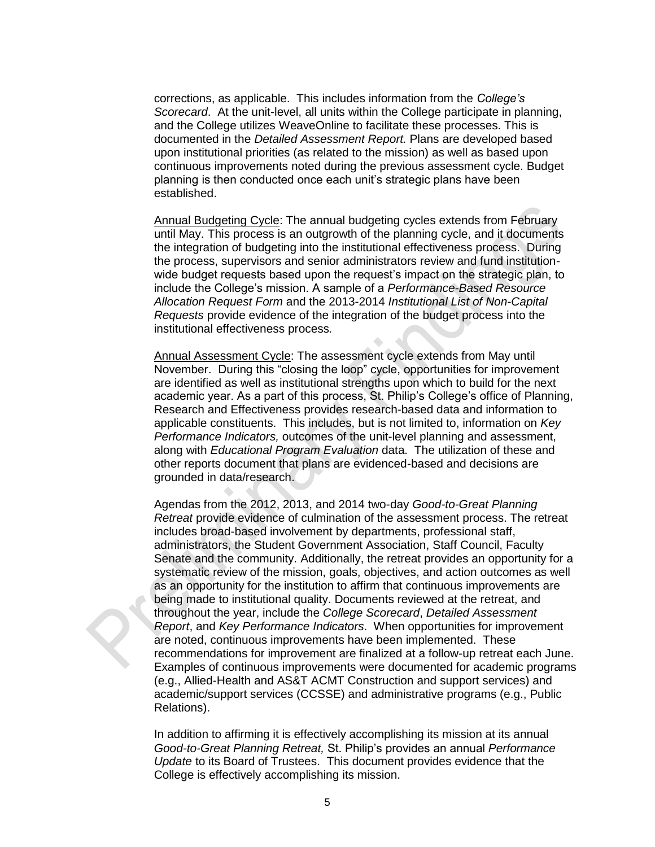corrections, as applicable. This includes information from the *College's Scorecard*. At the unit-level, all units within the College participate in planning, and the College utilizes WeaveOnline to facilitate these processes. This is documented in the *Detailed Assessment Report.* Plans are developed based upon institutional priorities (as related to the mission) as well as based upon continuous improvements noted during the previous assessment cycle. Budget planning is then conducted once each unit's strategic plans have been established.

Annual Budgeting Cycle: The annual budgeting cycles extends from February until May. This process is an outgrowth of the planning cycle, and it documents the integration of budgeting into the institutional effectiveness process. During the process, supervisors and senior administrators review and fund institutionwide budget requests based upon the request's impact on the strategic plan, to include the College's mission. A sample of a *Performance-Based Resource Allocation Request Form* and the 2013-2014 *Institutional List of Non-Capital Requests* provide evidence of the integration of the budget process into the institutional effectiveness process*.*

Annual Assessment Cycle: The assessment cycle extends from May until November. During this "closing the loop" cycle, opportunities for improvement are identified as well as institutional strengths upon which to build for the next academic year. As a part of this process, St. Philip's College's office of Planning, Research and Effectiveness provides research-based data and information to applicable constituents. This includes, but is not limited to, information on *Key Performance Indicators,* outcomes of the unit-level planning and assessment, along with *Educational Program Evaluation* data. The utilization of these and other reports document that plans are evidenced-based and decisions are grounded in data/research.

Agendas from the 2012, 2013, and 2014 two-day *Good-to-Great Planning Retreat* provide evidence of culmination of the assessment process. The retreat includes broad-based involvement by departments, professional staff, administrators, the Student Government Association, Staff Council, Faculty Senate and the community. Additionally, the retreat provides an opportunity for a systematic review of the mission, goals, objectives, and action outcomes as well as an opportunity for the institution to affirm that continuous improvements are being made to institutional quality. Documents reviewed at the retreat, and throughout the year, include the *College Scorecard*, *Detailed Assessment Report*, and *Key Performance Indicators*. When opportunities for improvement are noted, continuous improvements have been implemented. These recommendations for improvement are finalized at a follow-up retreat each June. Examples of continuous improvements were documented for academic programs (e.g., Allied-Health and AS&T ACMT Construction and support services) and academic/support services (CCSSE) and administrative programs (e.g., Public Relations).

In addition to affirming it is effectively accomplishing its mission at its annual *Good-to-Great Planning Retreat,* St. Philip's provides an annual *Performance Update* to its Board of Trustees. This document provides evidence that the College is effectively accomplishing its mission.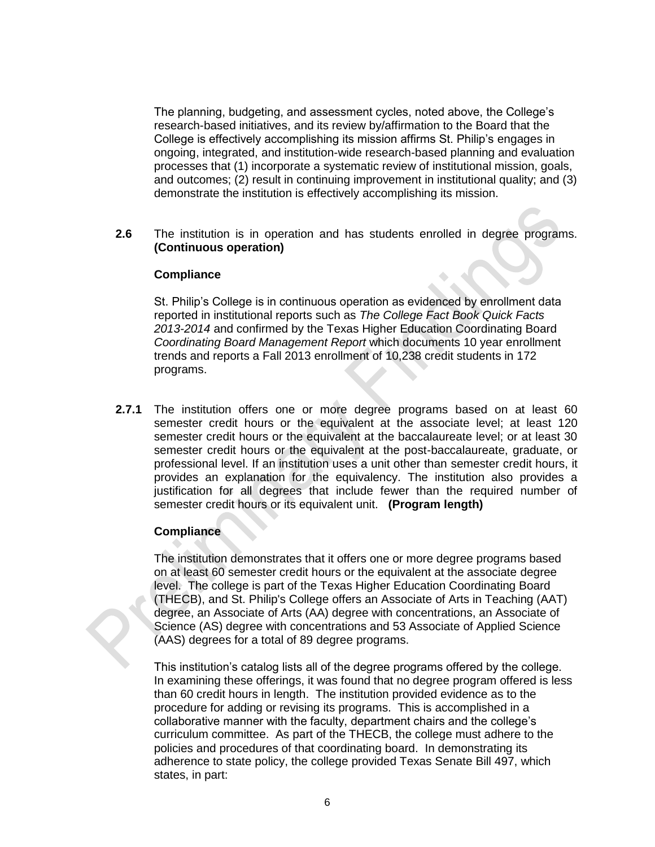The planning, budgeting, and assessment cycles, noted above, the College's research-based initiatives, and its review by/affirmation to the Board that the College is effectively accomplishing its mission affirms St. Philip's engages in ongoing, integrated, and institution-wide research-based planning and evaluation processes that (1) incorporate a systematic review of institutional mission, goals, and outcomes; (2) result in continuing improvement in institutional quality; and (3) demonstrate the institution is effectively accomplishing its mission.

**2.6** The institution is in operation and has students enrolled in degree programs. **(Continuous operation)**

#### **Compliance**

St. Philip's College is in continuous operation as evidenced by enrollment data reported in institutional reports such as *The College Fact Book Quick Facts 2013-2014* and confirmed by the Texas Higher Education Coordinating Board *Coordinating Board Management Report* which documents 10 year enrollment trends and reports a Fall 2013 enrollment of 10,238 credit students in 172 programs.

**2.7.1** The institution offers one or more degree programs based on at least 60 semester credit hours or the equivalent at the associate level; at least 120 semester credit hours or the equivalent at the baccalaureate level; or at least 30 semester credit hours or the equivalent at the post-baccalaureate, graduate, or professional level. If an institution uses a unit other than semester credit hours, it provides an explanation for the equivalency. The institution also provides a justification for all degrees that include fewer than the required number of semester credit hours or its equivalent unit. **(Program length)**

#### **Compliance**

The institution demonstrates that it offers one or more degree programs based on at least 60 semester credit hours or the equivalent at the associate degree level. The college is part of the Texas Higher Education Coordinating Board (THECB), and St. Philip's College offers an Associate of Arts in Teaching (AAT) degree, an Associate of Arts (AA) degree with concentrations, an Associate of Science (AS) degree with concentrations and 53 Associate of Applied Science (AAS) degrees for a total of 89 degree programs.

This institution's catalog lists all of the degree programs offered by the college. In examining these offerings, it was found that no degree program offered is less than 60 credit hours in length.The institution provided evidence as to the procedure for adding or revising its programs. This is accomplished in a collaborative manner with the faculty, department chairs and the college's curriculum committee. As part of the THECB, the college must adhere to the policies and procedures of that coordinating board. In demonstrating its adherence to state policy, the college provided Texas Senate Bill 497, which states, in part: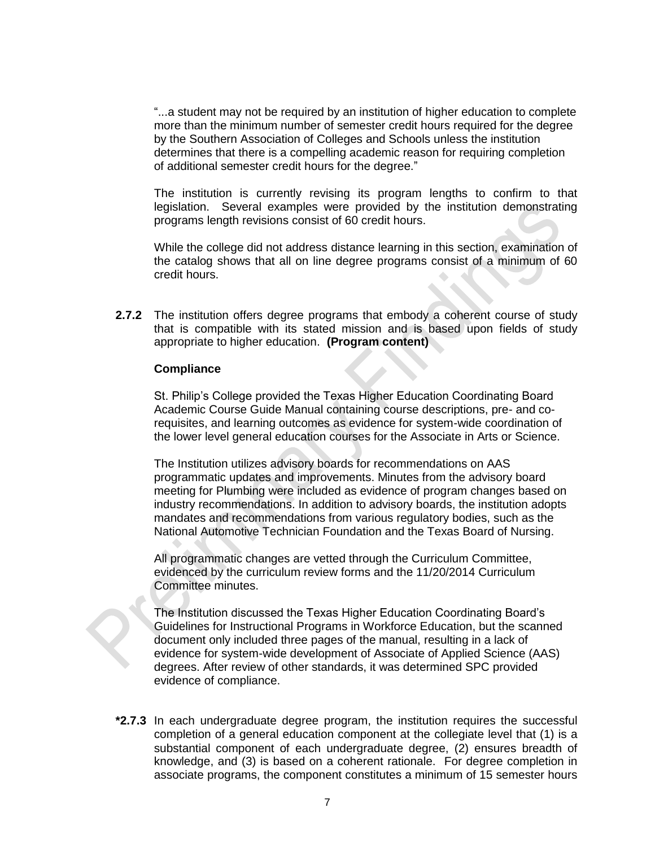"...a student may not be required by an institution of higher education to complete more than the minimum number of semester credit hours required for the degree by the Southern Association of Colleges and Schools unless the institution determines that there is a compelling academic reason for requiring completion of additional semester credit hours for the degree."

The institution is currently revising its program lengths to confirm to that legislation. Several examples were provided by the institution demonstrating programs length revisions consist of 60 credit hours.

While the college did not address distance learning in this section, examination of the catalog shows that all on line degree programs consist of a minimum of 60 credit hours.

**2.7.2** The institution offers degree programs that embody a coherent course of study that is compatible with its stated mission and is based upon fields of study appropriate to higher education. **(Program content)** 

#### **Compliance**

St. Philip's College provided the Texas Higher Education Coordinating Board Academic Course Guide Manual containing course descriptions, pre- and corequisites, and learning outcomes as evidence for system-wide coordination of the lower level general education courses for the Associate in Arts or Science.

The Institution utilizes advisory boards for recommendations on AAS programmatic updates and improvements. Minutes from the advisory board meeting for Plumbing were included as evidence of program changes based on industry recommendations. In addition to advisory boards, the institution adopts mandates and recommendations from various regulatory bodies, such as the National Automotive Technician Foundation and the Texas Board of Nursing.

All programmatic changes are vetted through the Curriculum Committee, evidenced by the curriculum review forms and the 11/20/2014 Curriculum Committee minutes.

The Institution discussed the Texas Higher Education Coordinating Board's Guidelines for Instructional Programs in Workforce Education, but the scanned document only included three pages of the manual, resulting in a lack of evidence for system-wide development of Associate of Applied Science (AAS) degrees. After review of other standards, it was determined SPC provided evidence of compliance.

**\*2.7.3** In each undergraduate degree program, the institution requires the successful completion of a general education component at the collegiate level that (1) is a substantial component of each undergraduate degree, (2) ensures breadth of knowledge, and (3) is based on a coherent rationale. For degree completion in associate programs, the component constitutes a minimum of 15 semester hours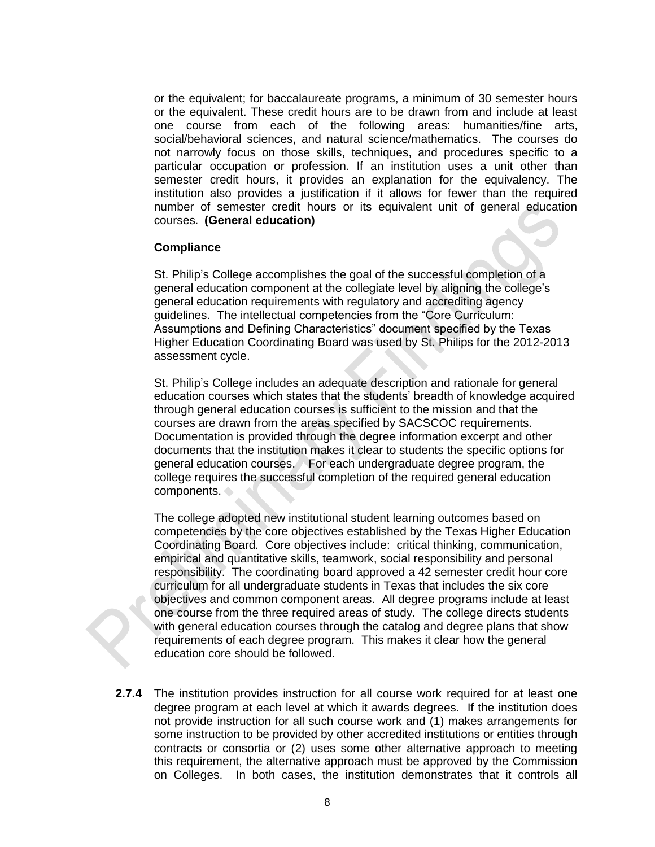or the equivalent; for baccalaureate programs, a minimum of 30 semester hours or the equivalent. These credit hours are to be drawn from and include at least one course from each of the following areas: humanities/fine arts, social/behavioral sciences, and natural science/mathematics. The courses do not narrowly focus on those skills, techniques, and procedures specific to a particular occupation or profession. If an institution uses a unit other than semester credit hours, it provides an explanation for the equivalency. The institution also provides a justification if it allows for fewer than the required number of semester credit hours or its equivalent unit of general education courses. **(General education)**

#### **Compliance**

St. Philip's College accomplishes the goal of the successful completion of a general education component at the collegiate level by aligning the college's general education requirements with regulatory and accrediting agency guidelines. The intellectual competencies from the "Core Curriculum: Assumptions and Defining Characteristics" document specified by the Texas Higher Education Coordinating Board was used by St. Philips for the 2012-2013 assessment cycle.

St. Philip's College includes an adequate description and rationale for general education courses which states that the students' breadth of knowledge acquired through general education courses is sufficient to the mission and that the courses are drawn from the areas specified by SACSCOC requirements. Documentation is provided through the degree information excerpt and other documents that the institution makes it clear to students the specific options for general education courses. For each undergraduate degree program, the college requires the successful completion of the required general education components.

The college adopted new institutional student learning outcomes based on competencies by the core objectives established by the Texas Higher Education Coordinating Board. Core objectives include: critical thinking, communication, empirical and quantitative skills, teamwork, social responsibility and personal responsibility. The coordinating board approved a 42 semester credit hour core curriculum for all undergraduate students in Texas that includes the six core objectives and common component areas. All degree programs include at least one course from the three required areas of study. The college directs students with general education courses through the catalog and degree plans that show requirements of each degree program. This makes it clear how the general education core should be followed.

**2.7.4** The institution provides instruction for all course work required for at least one degree program at each level at which it awards degrees. If the institution does not provide instruction for all such course work and (1) makes arrangements for some instruction to be provided by other accredited institutions or entities through contracts or consortia or (2) uses some other alternative approach to meeting this requirement, the alternative approach must be approved by the Commission on Colleges. In both cases, the institution demonstrates that it controls all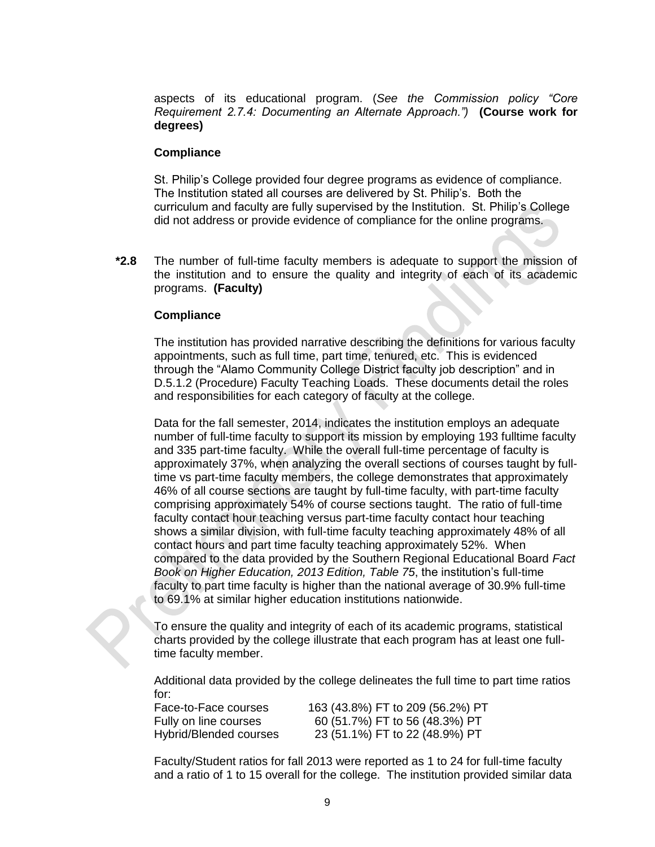aspects of its educational program. (*See the Commission policy "Core Requirement 2.7.4: Documenting an Alternate Approach.")* **(Course work for degrees)** 

#### **Compliance**

St. Philip's College provided four degree programs as evidence of compliance. The Institution stated all courses are delivered by St. Philip's. Both the curriculum and faculty are fully supervised by the Institution. St. Philip's College did not address or provide evidence of compliance for the online programs.

**\*2.8** The number of full-time faculty members is adequate to support the mission of the institution and to ensure the quality and integrity of each of its academic programs. **(Faculty)**

#### **Compliance**

The institution has provided narrative describing the definitions for various faculty appointments, such as full time, part time, tenured, etc. This is evidenced through the "Alamo Community College District faculty job description" and in D.5.1.2 (Procedure) Faculty Teaching Loads. These documents detail the roles and responsibilities for each category of faculty at the college.

Data for the fall semester, 2014, indicates the institution employs an adequate number of full-time faculty to support its mission by employing 193 fulltime faculty and 335 part-time faculty. While the overall full-time percentage of faculty is approximately 37%, when analyzing the overall sections of courses taught by fulltime vs part-time faculty members, the college demonstrates that approximately 46% of all course sections are taught by full-time faculty, with part-time faculty comprising approximately 54% of course sections taught. The ratio of full-time faculty contact hour teaching versus part-time faculty contact hour teaching shows a similar division, with full-time faculty teaching approximately 48% of all contact hours and part time faculty teaching approximately 52%. When compared to the data provided by the Southern Regional Educational Board *Fact Book on Higher Education, 2013 Edition, Table 75*, the institution's full-time faculty to part time faculty is higher than the national average of 30.9% full-time to 69.1% at similar higher education institutions nationwide.

To ensure the quality and integrity of each of its academic programs, statistical charts provided by the college illustrate that each program has at least one fulltime faculty member.

Additional data provided by the college delineates the full time to part time ratios for:

| Face-to-Face courses   | 163 (43.8%) FT to 209 (56.2%) PT |
|------------------------|----------------------------------|
| Fully on line courses  | 60 (51.7%) FT to 56 (48.3%) PT   |
| Hybrid/Blended courses | 23 (51.1%) FT to 22 (48.9%) PT   |

Faculty/Student ratios for fall 2013 were reported as 1 to 24 for full-time faculty and a ratio of 1 to 15 overall for the college. The institution provided similar data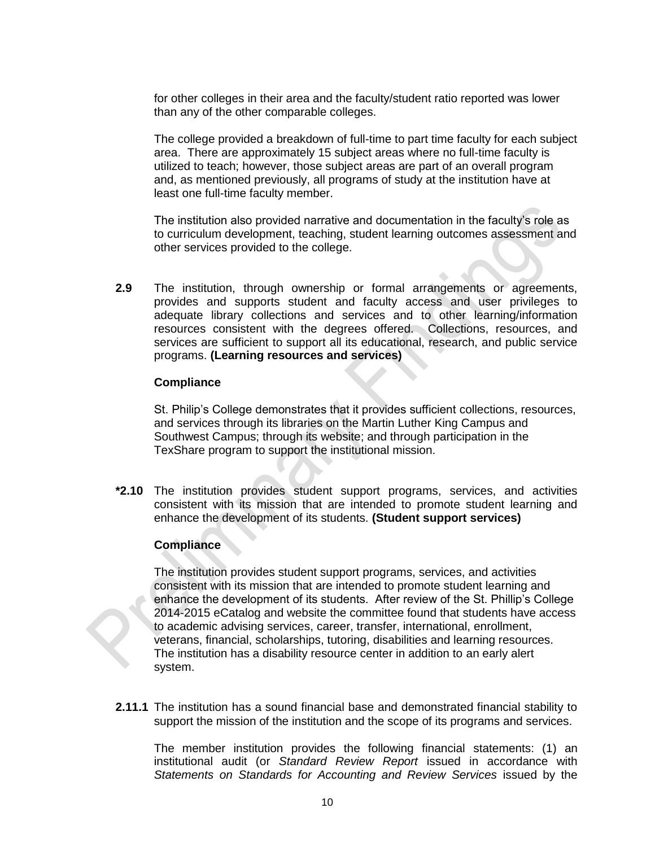for other colleges in their area and the faculty/student ratio reported was lower than any of the other comparable colleges.

The college provided a breakdown of full-time to part time faculty for each subject area. There are approximately 15 subject areas where no full-time faculty is utilized to teach; however, those subject areas are part of an overall program and, as mentioned previously, all programs of study at the institution have at least one full-time faculty member.

The institution also provided narrative and documentation in the faculty's role as to curriculum development, teaching, student learning outcomes assessment and other services provided to the college.

**2.9** The institution, through ownership or formal arrangements or agreements, provides and supports student and faculty access and user privileges to adequate library collections and services and to other learning/information resources consistent with the degrees offered. Collections, resources, and services are sufficient to support all its educational, research, and public service programs. **(Learning resources and services)** 

#### **Compliance**

St. Philip's College demonstrates that it provides sufficient collections, resources, and services through its libraries on the Martin Luther King Campus and Southwest Campus; through its website; and through participation in the TexShare program to support the institutional mission.

**\*2.10** The institution provides student support programs, services, and activities consistent with its mission that are intended to promote student learning and enhance the development of its students. (Student support services)

#### **Compliance**

The institution provides student support programs, services, and activities consistent with its mission that are intended to promote student learning and enhance the development of its students. After review of the St. Phillip's College 2014-2015 eCatalog and website the committee found that students have access to academic advising services, career, transfer, international, enrollment, veterans, financial, scholarships, tutoring, disabilities and learning resources. The institution has a disability resource center in addition to an early alert system.

**2.11.1** The institution has a sound financial base and demonstrated financial stability to support the mission of the institution and the scope of its programs and services.

The member institution provides the following financial statements: (1) an institutional audit (or *Standard Review Report* issued in accordance with Statements on Standards for Accounting and Review Services issued by the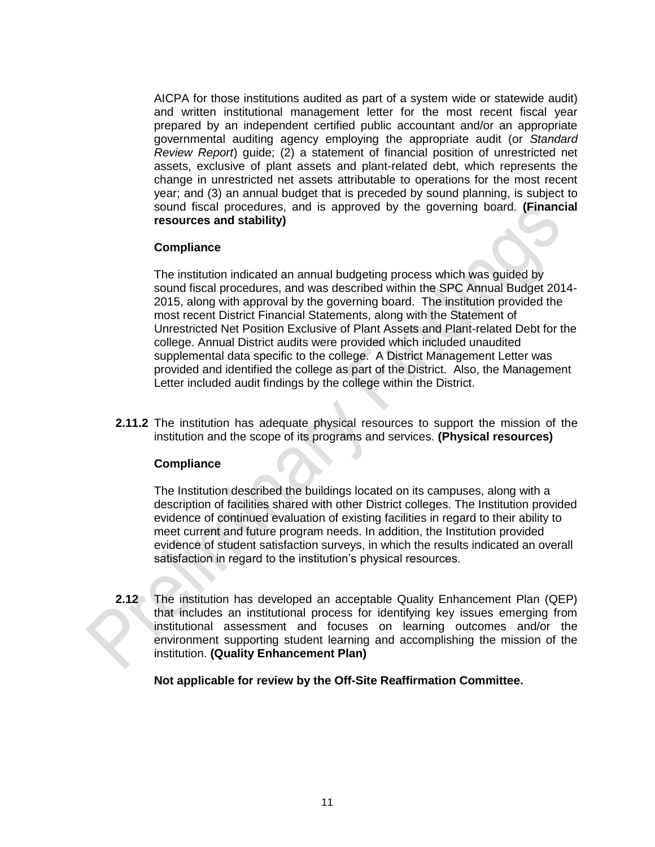AICPA for those institutions audited as part of a system wide or statewide audit) and written institutional management letter for the most recent fiscal year prepared by an independent certified public accountant and/or an appropriate governmental auditing agency employing the appropriate audit (or *Standard Review Report*) guide; (2) a statement of financial position of unrestricted net assets, exclusive of plant assets and plant-related debt, which represents the change in unrestricted net assets attributable to operations for the most recent year; and (3) an annual budget that is preceded by sound planning, is subject to sound fiscal procedures, and is approved by the governing board. **(Financial resources and stability)**

#### **Compliance**

The institution indicated an annual budgeting process which was guided by sound fiscal procedures, and was described within the SPC Annual Budget 2014- 2015, along with approval by the governing board. The institution provided the most recent District Financial Statements, along with the Statement of Unrestricted Net Position Exclusive of Plant Assets and Plant-related Debt for the college. Annual District audits were provided which included unaudited supplemental data specific to the college. A District Management Letter was provided and identified the college as part of the District. Also, the Management Letter included audit findings by the college within the District.

**2.11.2** The institution has adequate physical resources to support the mission of the institution and the scope of its programs and services. **(Physical resources)**

#### **Compliance**

The Institution described the buildings located on its campuses, along with a description of facilities shared with other District colleges. The Institution provided evidence of continued evaluation of existing facilities in regard to their ability to meet current and future program needs. In addition, the Institution provided evidence of student satisfaction surveys, in which the results indicated an overall satisfaction in regard to the institution's physical resources.

**2.12** The institution has developed an acceptable Quality Enhancement Plan (QEP) that includes an institutional process for identifying key issues emerging from institutional assessment and focuses on learning outcomes and/or the environment supporting student learning and accomplishing the mission of the institution. **(Quality Enhancement Plan)** 

**Not applicable for review by the Off-Site Reaffirmation Committee.**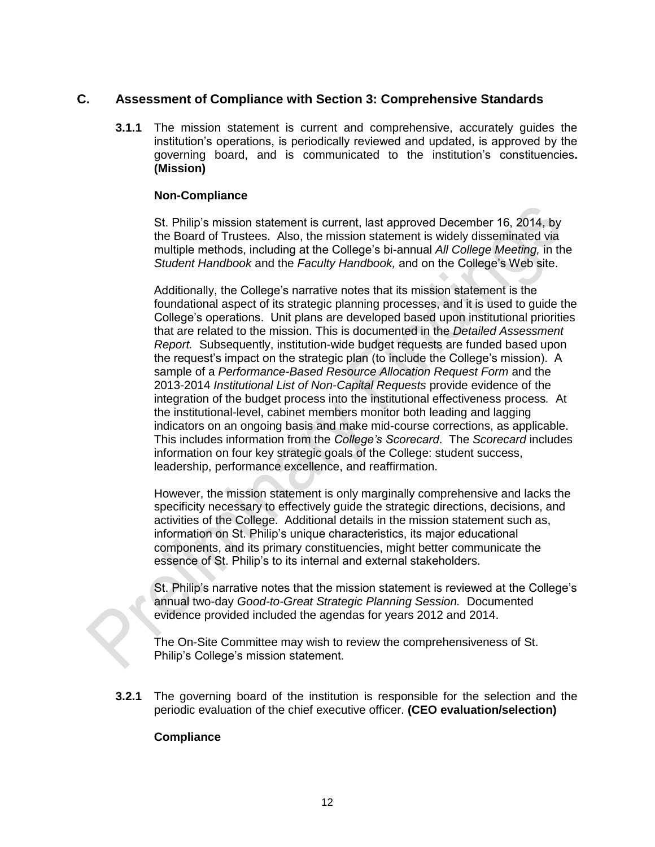# **C. Assessment of Compliance with Section 3: Comprehensive Standards**

**3.1.1** The mission statement is current and comprehensive, accurately guides the institution's operations, is periodically reviewed and updated, is approved by the governing board, and is communicated to the institution's constituencies**. (Mission)**

#### **Non-Compliance**

St. Philip's mission statement is current, last approved December 16, 2014, by the Board of Trustees. Also, the mission statement is widely disseminated via multiple methods, including at the College's bi-annual *All College Meeting,* in the *Student Handbook* and the *Faculty Handbook,* and on the College's Web site.

Additionally, the College's narrative notes that its mission statement is the foundational aspect of its strategic planning processes, and it is used to guide the College's operations. Unit plans are developed based upon institutional priorities that are related to the mission. This is documented in the *Detailed Assessment Report.* Subsequently, institution-wide budget requests are funded based upon the request's impact on the strategic plan (to include the College's mission). A sample of a *Performance-Based Resource Allocation Request Form* and the 2013-2014 *Institutional List of Non-Capital Requests* provide evidence of the integration of the budget process into the institutional effectiveness process*.* At the institutional-level, cabinet members monitor both leading and lagging indicators on an ongoing basis and make mid-course corrections, as applicable. This includes information from the *College's Scorecard*. The *Scorecard* includes information on four key strategic goals of the College: student success, leadership, performance excellence, and reaffirmation.

However, the mission statement is only marginally comprehensive and lacks the specificity necessary to effectively guide the strategic directions, decisions, and activities of the College. Additional details in the mission statement such as, information on St. Philip's unique characteristics, its major educational components, and its primary constituencies, might better communicate the essence of St. Philip's to its internal and external stakeholders.

St. Philip's narrative notes that the mission statement is reviewed at the College's annual two-day *Good-to-Great Strategic Planning Session.* Documented evidence provided included the agendas for years 2012 and 2014.

The On-Site Committee may wish to review the comprehensiveness of St. Philip's College's mission statement.

**3.2.1** The governing board of the institution is responsible for the selection and the periodic evaluation of the chief executive officer. **(CEO evaluation/selection)**

#### **Compliance**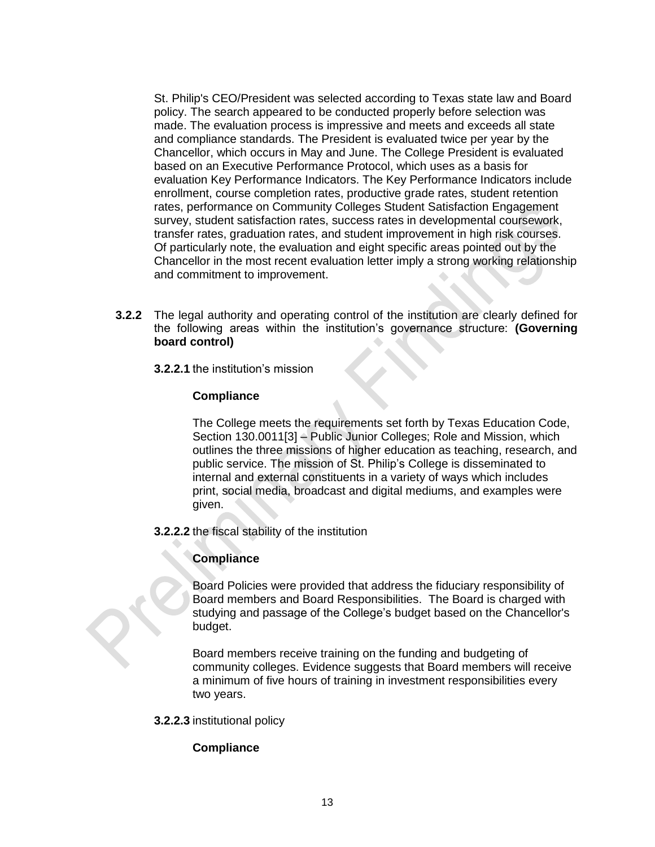St. Philip's CEO/President was selected according to Texas state law and Board policy. The search appeared to be conducted properly before selection was made. The evaluation process is impressive and meets and exceeds all state and compliance standards. The President is evaluated twice per year by the Chancellor, which occurs in May and June. The College President is evaluated based on an Executive Performance Protocol, which uses as a basis for evaluation Key Performance Indicators. The Key Performance Indicators include enrollment, course completion rates, productive grade rates, student retention rates, performance on Community Colleges Student Satisfaction Engagement survey, student satisfaction rates, success rates in developmental coursework, transfer rates, graduation rates, and student improvement in high risk courses. Of particularly note, the evaluation and eight specific areas pointed out by the Chancellor in the most recent evaluation letter imply a strong working relationship and commitment to improvement.

- **3.2.2** The legal authority and operating control of the institution are clearly defined for the following areas within the institution's governance structure: **(Governing board control)** 
	- **3.2.2.1** the institution's mission

#### **Compliance**

The College meets the requirements set forth by Texas Education Code, Section 130.0011[3] – Public Junior Colleges; Role and Mission, which outlines the three missions of higher education as teaching, research, and public service. The mission of St. Philip's College is disseminated to internal and external constituents in a variety of ways which includes print, social media, broadcast and digital mediums, and examples were given.

**3.2.2.2** the fiscal stability of the institution

# **Compliance**

Board Policies were provided that address the fiduciary responsibility of Board members and Board Responsibilities. The Board is charged with studying and passage of the College's budget based on the Chancellor's budget.

Board members receive training on the funding and budgeting of community colleges. Evidence suggests that Board members will receive a minimum of five hours of training in investment responsibilities every two years.

**3.2.2.3** institutional policy

# **Compliance**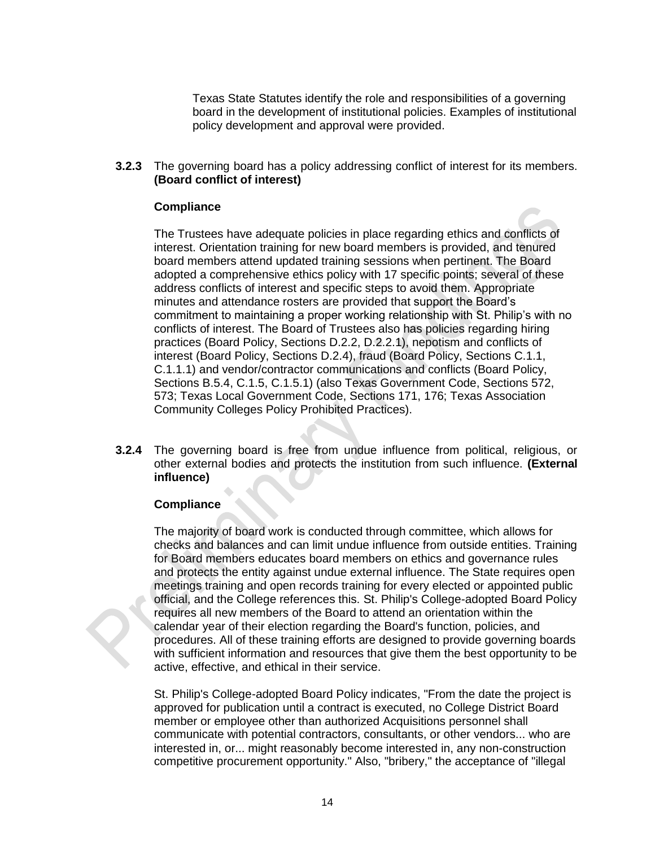Texas State Statutes identify the role and responsibilities of a governing board in the development of institutional policies. Examples of institutional policy development and approval were provided.

**3.2.3** The governing board has a policy addressing conflict of interest for its members. **(Board conflict of interest)**

#### **Compliance**

The Trustees have adequate policies in place regarding ethics and conflicts of interest. Orientation training for new board members is provided, and tenured board members attend updated training sessions when pertinent. The Board adopted a comprehensive ethics policy with 17 specific points; several of these address conflicts of interest and specific steps to avoid them. Appropriate minutes and attendance rosters are provided that support the Board's commitment to maintaining a proper working relationship with St. Philip's with no conflicts of interest. The Board of Trustees also has policies regarding hiring practices (Board Policy, Sections D.2.2, D.2.2.1), nepotism and conflicts of interest (Board Policy, Sections D.2.4), fraud (Board Policy, Sections C.1.1, C.1.1.1) and vendor/contractor communications and conflicts (Board Policy, Sections B.5.4, C.1.5, C.1.5.1) (also Texas Government Code, Sections 572, 573; Texas Local Government Code, Sections 171, 176; Texas Association Community Colleges Policy Prohibited Practices).

**3.2.4** The governing board is free from undue influence from political, religious, or other external bodies and protects the institution from such influence. **(External influence)**

#### **Compliance**

The majority of board work is conducted through committee, which allows for checks and balances and can limit undue influence from outside entities. Training for Board members educates board members on ethics and governance rules and protects the entity against undue external influence. The State requires open meetings training and open records training for every elected or appointed public official, and the College references this. St. Philip's College-adopted Board Policy requires all new members of the Board to attend an orientation within the calendar year of their election regarding the Board's function, policies, and procedures. All of these training efforts are designed to provide governing boards with sufficient information and resources that give them the best opportunity to be active, effective, and ethical in their service.

St. Philip's College-adopted Board Policy indicates, "From the date the project is approved for publication until a contract is executed, no College District Board member or employee other than authorized Acquisitions personnel shall communicate with potential contractors, consultants, or other vendors... who are interested in, or... might reasonably become interested in, any non-construction competitive procurement opportunity." Also, "bribery," the acceptance of "illegal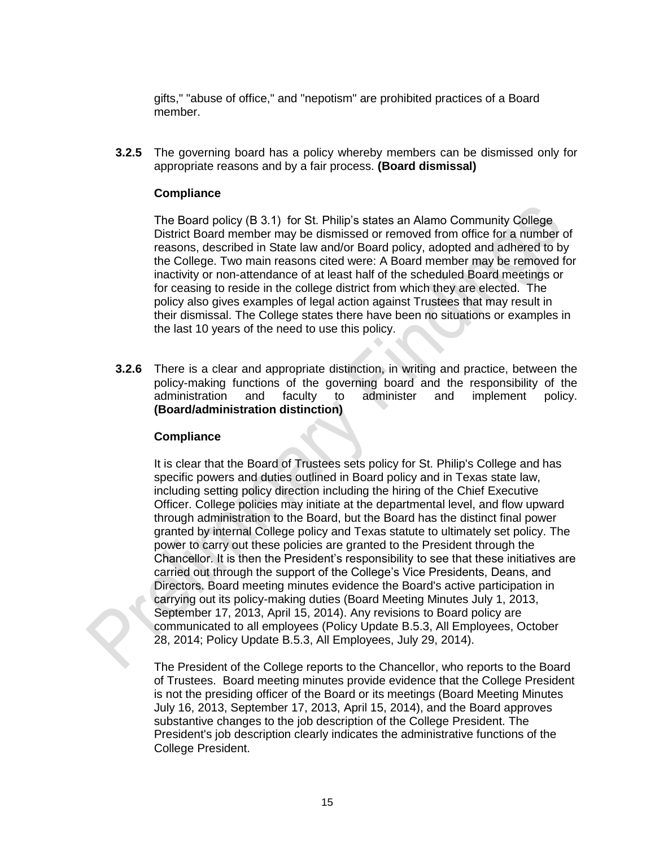gifts," "abuse of office," and "nepotism" are prohibited practices of a Board member.

**3.2.5** The governing board has a policy whereby members can be dismissed only for appropriate reasons and by a fair process. **(Board dismissal)**

#### **Compliance**

The Board policy (B 3.1) for St. Philip's states an Alamo Community College District Board member may be dismissed or removed from office for a number of reasons, described in State law and/or Board policy, adopted and adhered to by the College. Two main reasons cited were: A Board member may be removed for inactivity or non-attendance of at least half of the scheduled Board meetings or for ceasing to reside in the college district from which they are elected. The policy also gives examples of legal action against Trustees that may result in their dismissal. The College states there have been no situations or examples in the last 10 years of the need to use this policy.

**3.2.6** There is a clear and appropriate distinction, in writing and practice, between the policy-making functions of the governing board and the responsibility of the administration and faculty to administer and implement policy. **(Board/administration distinction)** 

#### **Compliance**

It is clear that the Board of Trustees sets policy for St. Philip's College and has specific powers and duties outlined in Board policy and in Texas state law, including setting policy direction including the hiring of the Chief Executive Officer. College policies may initiate at the departmental level, and flow upward through administration to the Board, but the Board has the distinct final power granted by internal College policy and Texas statute to ultimately set policy. The power to carry out these policies are granted to the President through the Chancellor. It is then the President's responsibility to see that these initiatives are carried out through the support of the College's Vice Presidents, Deans, and Directors. Board meeting minutes evidence the Board's active participation in carrying out its policy-making duties (Board Meeting Minutes July 1, 2013, September 17, 2013, April 15, 2014). Any revisions to Board policy are communicated to all employees (Policy Update B.5.3, All Employees, October 28, 2014; Policy Update B.5.3, All Employees, July 29, 2014).

The President of the College reports to the Chancellor, who reports to the Board of Trustees. Board meeting minutes provide evidence that the College President is not the presiding officer of the Board or its meetings (Board Meeting Minutes July 16, 2013, September 17, 2013, April 15, 2014), and the Board approves substantive changes to the job description of the College President. The President's job description clearly indicates the administrative functions of the College President.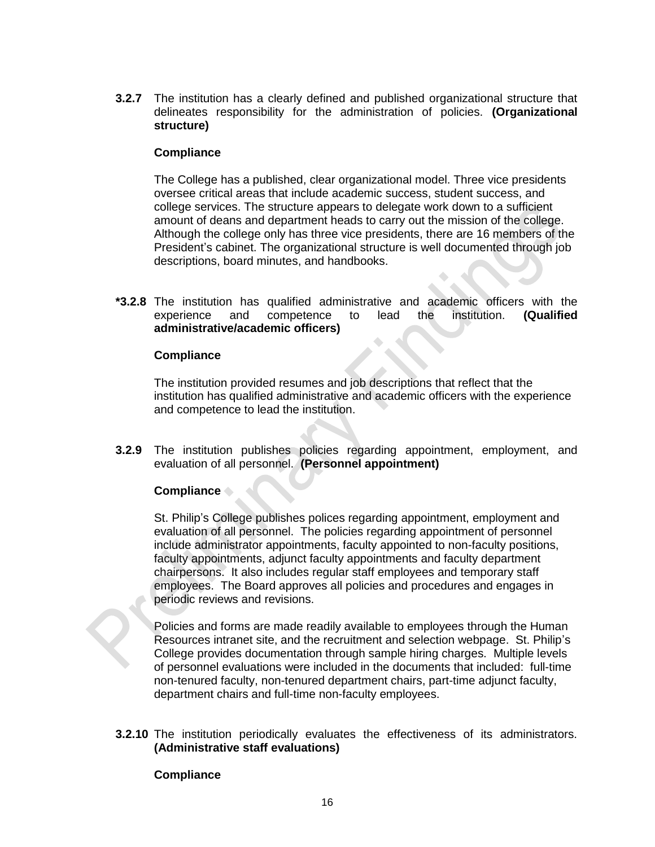**3.2.7** The institution has a clearly defined and published organizational structure that delineates responsibility for the administration of policies. **(Organizational structure)**

#### **Compliance**

The College has a published, clear organizational model. Three vice presidents oversee critical areas that include academic success, student success, and college services. The structure appears to delegate work down to a sufficient amount of deans and department heads to carry out the mission of the college. Although the college only has three vice presidents, there are 16 members of the President's cabinet. The organizational structure is well documented through job descriptions, board minutes, and handbooks.

**\*3.2.8** The institution has qualified administrative and academic officers with the experience and competence to lead the institution. **(Qualified administrative/academic officers)**

#### **Compliance**

The institution provided resumes and job descriptions that reflect that the institution has qualified administrative and academic officers with the experience and competence to lead the institution.

**3.2.9** The institution publishes policies regarding appointment, employment, and evaluation of all personnel. **(Personnel appointment)**

# **Compliance**

St. Philip's College publishes polices regarding appointment, employment and evaluation of all personnel. The policies regarding appointment of personnel include administrator appointments, faculty appointed to non-faculty positions, faculty appointments, adjunct faculty appointments and faculty department chairpersons. It also includes regular staff employees and temporary staff employees. The Board approves all policies and procedures and engages in periodic reviews and revisions.

Policies and forms are made readily available to employees through the Human Resources intranet site, and the recruitment and selection webpage. St. Philip's College provides documentation through sample hiring charges. Multiple levels of personnel evaluations were included in the documents that included: full-time non-tenured faculty, non-tenured department chairs, part-time adjunct faculty, department chairs and full-time non-faculty employees.

**3.2.10** The institution periodically evaluates the effectiveness of its administrators. **(Administrative staff evaluations)**

#### **Compliance**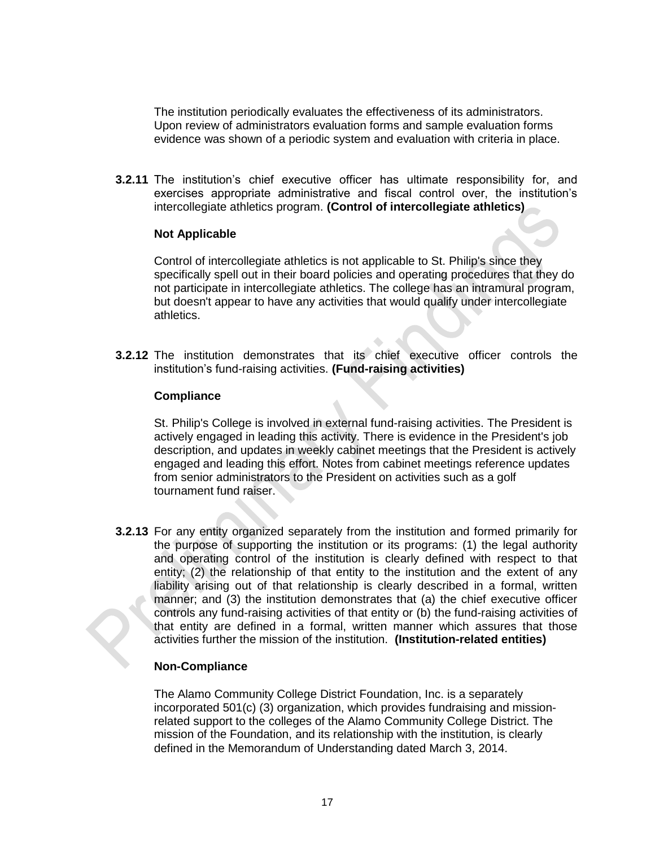The institution periodically evaluates the effectiveness of its administrators. Upon review of administrators evaluation forms and sample evaluation forms evidence was shown of a periodic system and evaluation with criteria in place.

**3.2.11** The institution's chief executive officer has ultimate responsibility for, and exercises appropriate administrative and fiscal control over, the institution's intercollegiate athletics program. **(Control of intercollegiate athletics)**

#### **Not Applicable**

Control of intercollegiate athletics is not applicable to St. Philip's since they specifically spell out in their board policies and operating procedures that they do not participate in intercollegiate athletics. The college has an intramural program, but doesn't appear to have any activities that would qualify under intercollegiate athletics.

**3.2.12** The institution demonstrates that its chief executive officer controls the institution's fund-raising activities. **(Fund-raising activities)**

#### **Compliance**

St. Philip's College is involved in external fund-raising activities. The President is actively engaged in leading this activity. There is evidence in the President's job description, and updates in weekly cabinet meetings that the President is actively engaged and leading this effort. Notes from cabinet meetings reference updates from senior administrators to the President on activities such as a golf tournament fund raiser.

**3.2.13** For any entity organized separately from the institution and formed primarily for the purpose of supporting the institution or its programs: (1) the legal authority and operating control of the institution is clearly defined with respect to that entity; (2) the relationship of that entity to the institution and the extent of any liability arising out of that relationship is clearly described in a formal, written manner; and (3) the institution demonstrates that (a) the chief executive officer controls any fund-raising activities of that entity or (b) the fund-raising activities of that entity are defined in a formal, written manner which assures that those activities further the mission of the institution. **(Institution-related entities)**

# **Non-Compliance**

The Alamo Community College District Foundation, Inc. is a separately incorporated 501(c) (3) organization, which provides fundraising and missionrelated support to the colleges of the Alamo Community College District. The mission of the Foundation, and its relationship with the institution, is clearly defined in the Memorandum of Understanding dated March 3, 2014.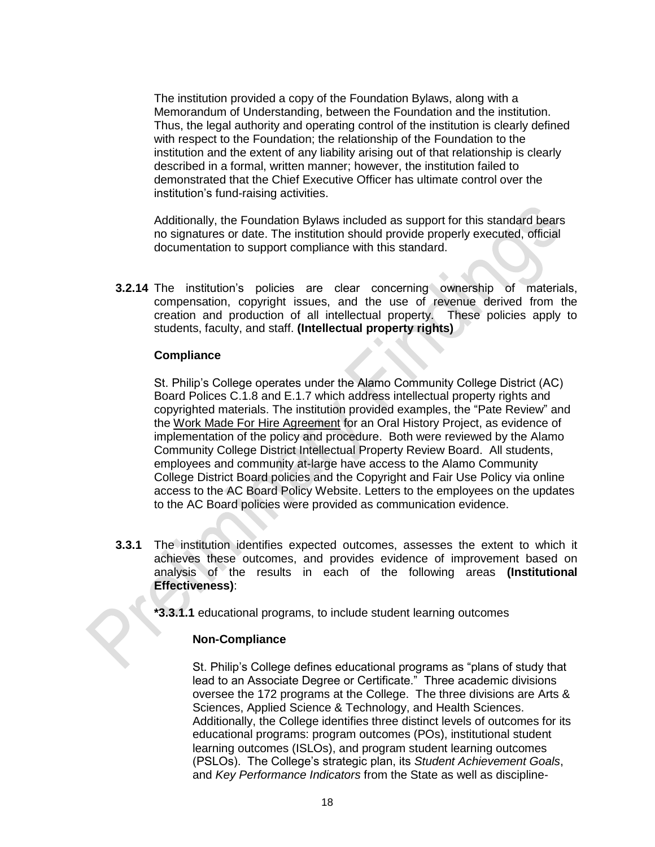The institution provided a copy of the Foundation Bylaws, along with a Memorandum of Understanding, between the Foundation and the institution. Thus, the legal authority and operating control of the institution is clearly defined with respect to the Foundation; the relationship of the Foundation to the institution and the extent of any liability arising out of that relationship is clearly described in a formal, written manner; however, the institution failed to demonstrated that the Chief Executive Officer has ultimate control over the institution's fund-raising activities.

Additionally, the Foundation Bylaws included as support for this standard bears no signatures or date. The institution should provide properly executed, official documentation to support compliance with this standard.

**3.2.14** The institution's policies are clear concerning ownership of materials, compensation, copyright issues, and the use of revenue derived from the creation and production of all intellectual property. These policies apply to students, faculty, and staff. **(Intellectual property rights)**

#### **Compliance**

St. Philip's College operates under the Alamo Community College District (AC) Board Polices C.1.8 and E.1.7 which address intellectual property rights and copyrighted materials. The institution provided examples, the "Pate Review" and the Work Made For Hire Agreement for an Oral History Project, as evidence of implementation of the policy and procedure. Both were reviewed by the Alamo Community College District Intellectual Property Review Board. All students, employees and community at-large have access to the Alamo Community College District Board policies and the Copyright and Fair Use Policy via online access to the AC Board Policy Website. Letters to the employees on the updates to the AC Board policies were provided as communication evidence.

**3.3.1** The institution identifies expected outcomes, assesses the extent to which it achieves these outcomes, and provides evidence of improvement based on analysis of the results in each of the following areas **(Institutional Effectiveness)**:

**\*3.3.1.1** educational programs, to include student learning outcomes

#### **Non-Compliance**

St. Philip's College defines educational programs as "plans of study that lead to an Associate Degree or Certificate." Three academic divisions oversee the 172 programs at the College. The three divisions are Arts & Sciences, Applied Science & Technology, and Health Sciences. Additionally, the College identifies three distinct levels of outcomes for its educational programs: program outcomes (POs), institutional student learning outcomes (ISLOs), and program student learning outcomes (PSLOs). The College's strategic plan, its *Student Achievement Goals*, and *Key Performance Indicators* from the State as well as discipline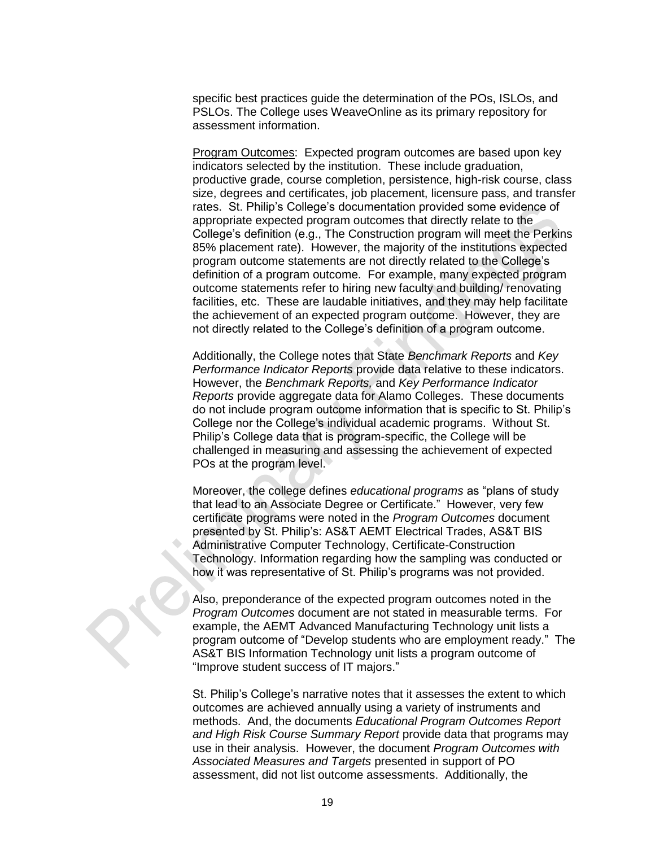specific best practices guide the determination of the POs, ISLOs, and PSLOs. The College uses WeaveOnline as its primary repository for assessment information.

Program Outcomes: Expected program outcomes are based upon key indicators selected by the institution. These include graduation, productive grade, course completion, persistence, high-risk course, class size, degrees and certificates, job placement, licensure pass, and transfer rates. St. Philip's College's documentation provided some evidence of appropriate expected program outcomes that directly relate to the College's definition (e.g., The Construction program will meet the Perkins 85% placement rate). However, the majority of the institutions expected program outcome statements are not directly related to the College's definition of a program outcome. For example, many expected program outcome statements refer to hiring new faculty and building/ renovating facilities, etc. These are laudable initiatives, and they may help facilitate the achievement of an expected program outcome. However, they are not directly related to the College's definition of a program outcome.

Additionally, the College notes that State *Benchmark Reports* and *Key Performance Indicator Reports* provide data relative to these indicators. However, the *Benchmark Reports,* and *Key Performance Indicator Reports* provide aggregate data for Alamo Colleges. These documents do not include program outcome information that is specific to St. Philip's College nor the College's individual academic programs. Without St. Philip's College data that is program-specific, the College will be challenged in measuring and assessing the achievement of expected POs at the program level.

Moreover, the college defines *educational programs* as "plans of study that lead to an Associate Degree or Certificate." However, very few certificate programs were noted in the *Program Outcomes* document presented by St. Philip's: AS&T AEMT Electrical Trades, AS&T BIS Administrative Computer Technology, Certificate-Construction Technology. Information regarding how the sampling was conducted or how it was representative of St. Philip's programs was not provided.

Also, preponderance of the expected program outcomes noted in the *Program Outcomes* document are not stated in measurable terms. For example, the AEMT Advanced Manufacturing Technology unit lists a program outcome of "Develop students who are employment ready." The AS&T BIS Information Technology unit lists a program outcome of "Improve student success of IT majors."

St. Philip's College's narrative notes that it assesses the extent to which outcomes are achieved annually using a variety of instruments and methods. And, the documents *Educational Program Outcomes Report and High Risk Course Summary Report* provide data that programs may use in their analysis. However, the document *Program Outcomes with Associated Measures and Targets* presented in support of PO assessment, did not list outcome assessments. Additionally, the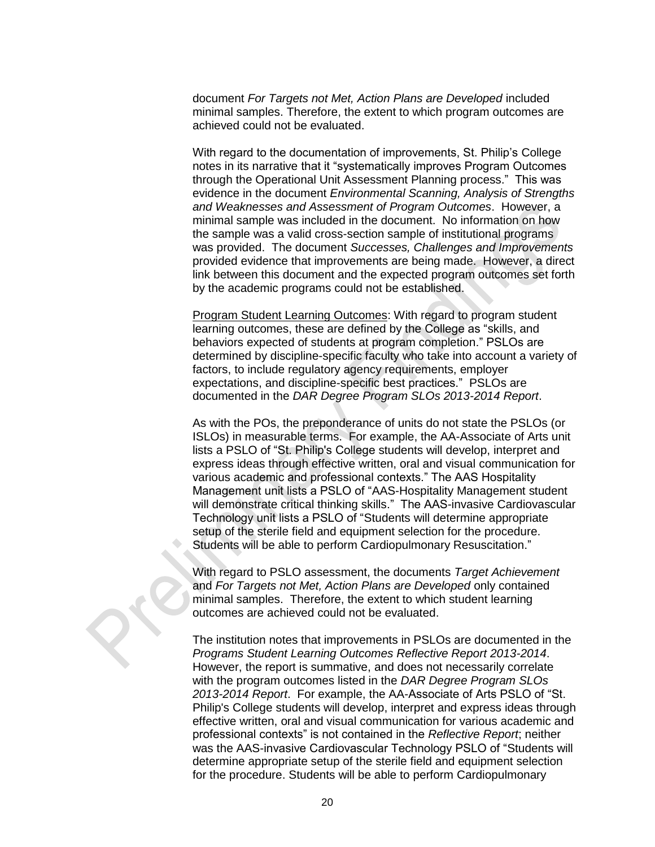document *For Targets not Met, Action Plans are Developed* included minimal samples. Therefore, the extent to which program outcomes are achieved could not be evaluated.

With regard to the documentation of improvements, St. Philip's College notes in its narrative that it "systematically improves Program Outcomes through the Operational Unit Assessment Planning process." This was evidence in the document *Environmental Scanning, Analysis of Strengths and Weaknesses and Assessment of Program Outcomes*. However, a minimal sample was included in the document. No information on how the sample was a valid cross-section sample of institutional programs was provided. The document *Successes, Challenges and Improvements* provided evidence that improvements are being made. However, a direct link between this document and the expected program outcomes set forth by the academic programs could not be established.

Program Student Learning Outcomes: With regard to program student learning outcomes, these are defined by the College as "skills, and behaviors expected of students at program completion." PSLOs are determined by discipline-specific faculty who take into account a variety of factors, to include regulatory agency requirements, employer expectations, and discipline-specific best practices." PSLOs are documented in the *DAR Degree Program SLOs 2013-2014 Report*.

As with the POs, the preponderance of units do not state the PSLOs (or ISLOs) in measurable terms. For example, the AA-Associate of Arts unit lists a PSLO of "St. Philip's College students will develop, interpret and express ideas through effective written, oral and visual communication for various academic and professional contexts." The AAS Hospitality Management unit lists a PSLO of "AAS-Hospitality Management student will demonstrate critical thinking skills." The AAS-invasive Cardiovascular Technology unit lists a PSLO of "Students will determine appropriate setup of the sterile field and equipment selection for the procedure. Students will be able to perform Cardiopulmonary Resuscitation."

With regard to PSLO assessment, the documents *Target Achievement* and *For Targets not Met, Action Plans are Developed* only contained minimal samples. Therefore, the extent to which student learning outcomes are achieved could not be evaluated.

The institution notes that improvements in PSLOs are documented in the *Programs Student Learning Outcomes Reflective Report 2013-2014*. However, the report is summative, and does not necessarily correlate with the program outcomes listed in the *DAR Degree Program SLOs 2013-2014 Report*. For example, the AA-Associate of Arts PSLO of "St. Philip's College students will develop, interpret and express ideas through effective written, oral and visual communication for various academic and professional contexts" is not contained in the *Reflective Report*; neither was the AAS-invasive Cardiovascular Technology PSLO of "Students will determine appropriate setup of the sterile field and equipment selection for the procedure. Students will be able to perform Cardiopulmonary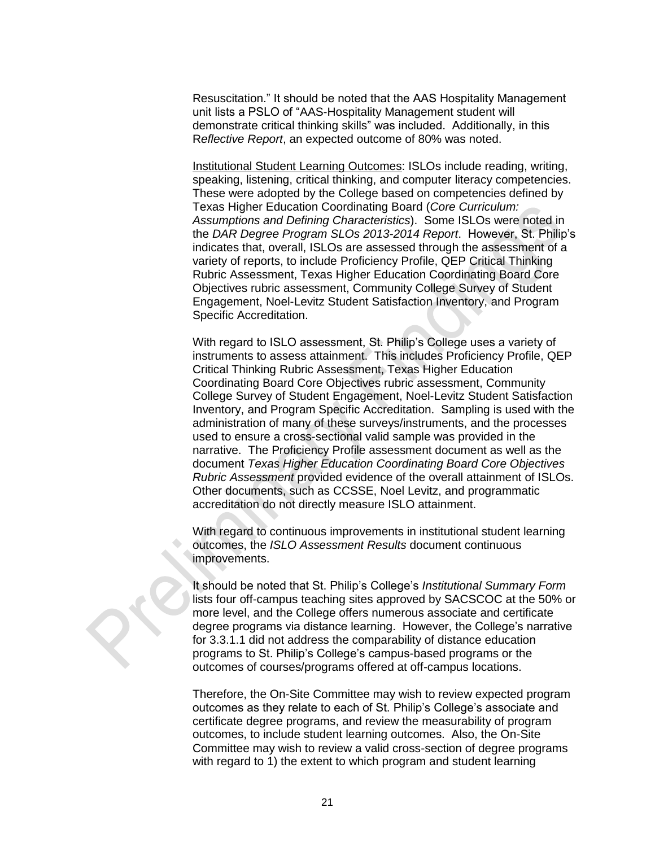Resuscitation." It should be noted that the AAS Hospitality Management unit lists a PSLO of "AAS-Hospitality Management student will demonstrate critical thinking skills" was included. Additionally, in this R*eflective Report*, an expected outcome of 80% was noted.

Institutional Student Learning Outcomes: ISLOs include reading, writing, speaking, listening, critical thinking, and computer literacy competencies. These were adopted by the College based on competencies defined by Texas Higher Education Coordinating Board (*Core Curriculum: Assumptions and Defining Characteristics*). Some ISLOs were noted in the *DAR Degree Program SLOs 2013-2014 Report*. However, St. Philip's indicates that, overall, ISLOs are assessed through the assessment of a variety of reports, to include Proficiency Profile, QEP Critical Thinking Rubric Assessment, Texas Higher Education Coordinating Board Core Objectives rubric assessment, Community College Survey of Student Engagement, Noel-Levitz Student Satisfaction Inventory, and Program Specific Accreditation.

With regard to ISLO assessment, St. Philip's College uses a variety of instruments to assess attainment. This includes Proficiency Profile, QEP Critical Thinking Rubric Assessment, Texas Higher Education Coordinating Board Core Objectives rubric assessment, Community College Survey of Student Engagement, Noel-Levitz Student Satisfaction Inventory, and Program Specific Accreditation. Sampling is used with the administration of many of these surveys/instruments, and the processes used to ensure a cross-sectional valid sample was provided in the narrative. The Proficiency Profile assessment document as well as the document *Texas Higher Education Coordinating Board Core Objectives Rubric Assessment* provided evidence of the overall attainment of ISLOs. Other documents, such as CCSSE, Noel Levitz, and programmatic accreditation do not directly measure ISLO attainment.

With regard to continuous improvements in institutional student learning outcomes, the *ISLO Assessment Results* document continuous improvements.

It should be noted that St. Philip's College's *Institutional Summary Form* lists four off-campus teaching sites approved by SACSCOC at the 50% or more level, and the College offers numerous associate and certificate degree programs via distance learning. However, the College's narrative for 3.3.1.1 did not address the comparability of distance education programs to St. Philip's College's campus-based programs or the outcomes of courses/programs offered at off-campus locations.

Therefore, the On-Site Committee may wish to review expected program outcomes as they relate to each of St. Philip's College's associate and certificate degree programs, and review the measurability of program outcomes, to include student learning outcomes. Also, the On-Site Committee may wish to review a valid cross-section of degree programs with regard to 1) the extent to which program and student learning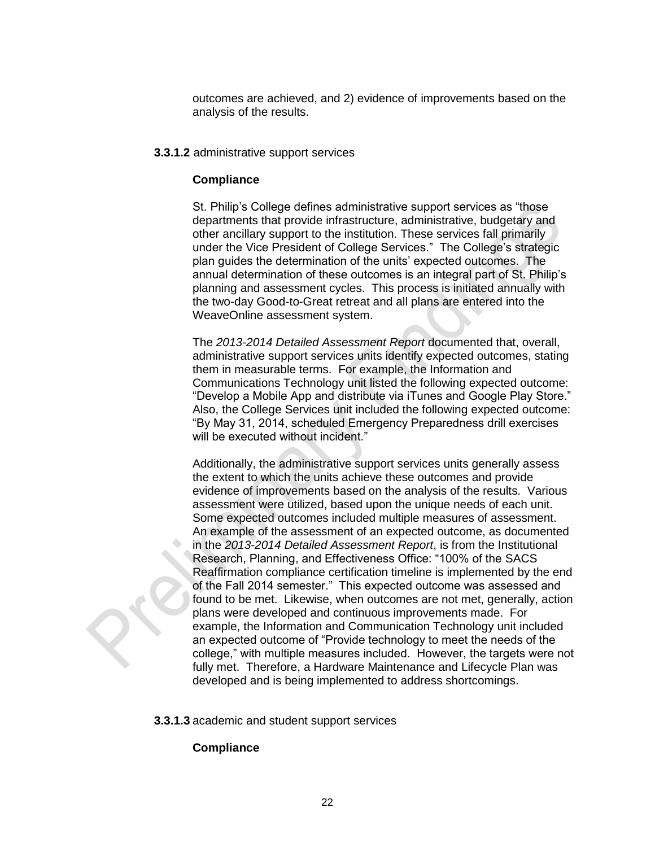outcomes are achieved, and 2) evidence of improvements based on the analysis of the results.

#### **3.3.1.2** administrative support services

#### **Compliance**

St. Philip's College defines administrative support services as "those departments that provide infrastructure, administrative, budgetary and other ancillary support to the institution. These services fall primarily under the Vice President of College Services." The College's strategic plan guides the determination of the units' expected outcomes. The annual determination of these outcomes is an integral part of St. Philip's planning and assessment cycles. This process is initiated annually with the two-day Good-to-Great retreat and all plans are entered into the WeaveOnline assessment system.

The *2013-2014 Detailed Assessment Report* documented that, overall, administrative support services units identify expected outcomes, stating them in measurable terms. For example, the Information and Communications Technology unit listed the following expected outcome: "Develop a Mobile App and distribute via iTunes and Google Play Store." Also, the College Services unit included the following expected outcome: "By May 31, 2014, scheduled Emergency Preparedness drill exercises will be executed without incident."

Additionally, the administrative support services units generally assess the extent to which the units achieve these outcomes and provide evidence of improvements based on the analysis of the results. Various assessment were utilized, based upon the unique needs of each unit. Some expected outcomes included multiple measures of assessment. An example of the assessment of an expected outcome, as documented in the *2013-2014 Detailed Assessment Report*, is from the Institutional Research, Planning, and Effectiveness Office: "100% of the SACS Reaffirmation compliance certification timeline is implemented by the end of the Fall 2014 semester." This expected outcome was assessed and found to be met. Likewise, when outcomes are not met, generally, action plans were developed and continuous improvements made. For example, the Information and Communication Technology unit included an expected outcome of "Provide technology to meet the needs of the college," with multiple measures included. However, the targets were not fully met. Therefore, a Hardware Maintenance and Lifecycle Plan was developed and is being implemented to address shortcomings.

**3.3.1.3** academic and student support services

#### **Compliance**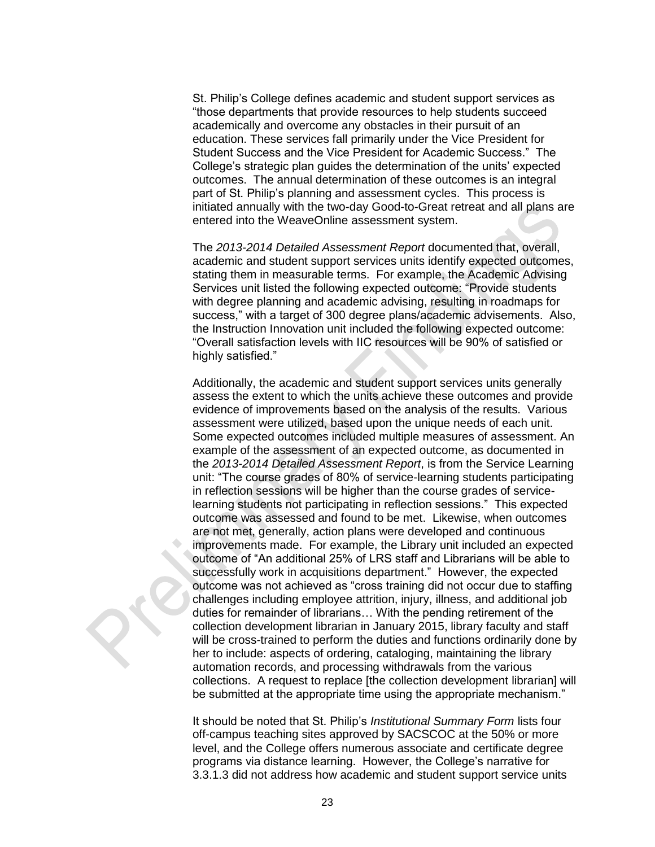St. Philip's College defines academic and student support services as "those departments that provide resources to help students succeed academically and overcome any obstacles in their pursuit of an education. These services fall primarily under the Vice President for Student Success and the Vice President for Academic Success." The College's strategic plan guides the determination of the units' expected outcomes. The annual determination of these outcomes is an integral part of St. Philip's planning and assessment cycles. This process is initiated annually with the two-day Good-to-Great retreat and all plans are entered into the WeaveOnline assessment system.

The *2013-2014 Detailed Assessment Report* documented that, overall, academic and student support services units identify expected outcomes, stating them in measurable terms. For example, the Academic Advising Services unit listed the following expected outcome: "Provide students with degree planning and academic advising, resulting in roadmaps for success," with a target of 300 degree plans/academic advisements. Also, the Instruction Innovation unit included the following expected outcome: "Overall satisfaction levels with IIC resources will be 90% of satisfied or highly satisfied."

Additionally, the academic and student support services units generally assess the extent to which the units achieve these outcomes and provide evidence of improvements based on the analysis of the results. Various assessment were utilized, based upon the unique needs of each unit. Some expected outcomes included multiple measures of assessment. An example of the assessment of an expected outcome, as documented in the *2013-2014 Detailed Assessment Report*, is from the Service Learning unit: "The course grades of 80% of service-learning students participating in reflection sessions will be higher than the course grades of servicelearning students not participating in reflection sessions." This expected outcome was assessed and found to be met. Likewise, when outcomes are not met, generally, action plans were developed and continuous improvements made. For example, the Library unit included an expected outcome of "An additional 25% of LRS staff and Librarians will be able to successfully work in acquisitions department." However, the expected outcome was not achieved as "cross training did not occur due to staffing challenges including employee attrition, injury, illness, and additional job duties for remainder of librarians… With the pending retirement of the collection development librarian in January 2015, library faculty and staff will be cross-trained to perform the duties and functions ordinarily done by her to include: aspects of ordering, cataloging, maintaining the library automation records, and processing withdrawals from the various collections. A request to replace [the collection development librarian] will be submitted at the appropriate time using the appropriate mechanism."

It should be noted that St. Philip's *Institutional Summary Form* lists four off-campus teaching sites approved by SACSCOC at the 50% or more level, and the College offers numerous associate and certificate degree programs via distance learning. However, the College's narrative for 3.3.1.3 did not address how academic and student support service units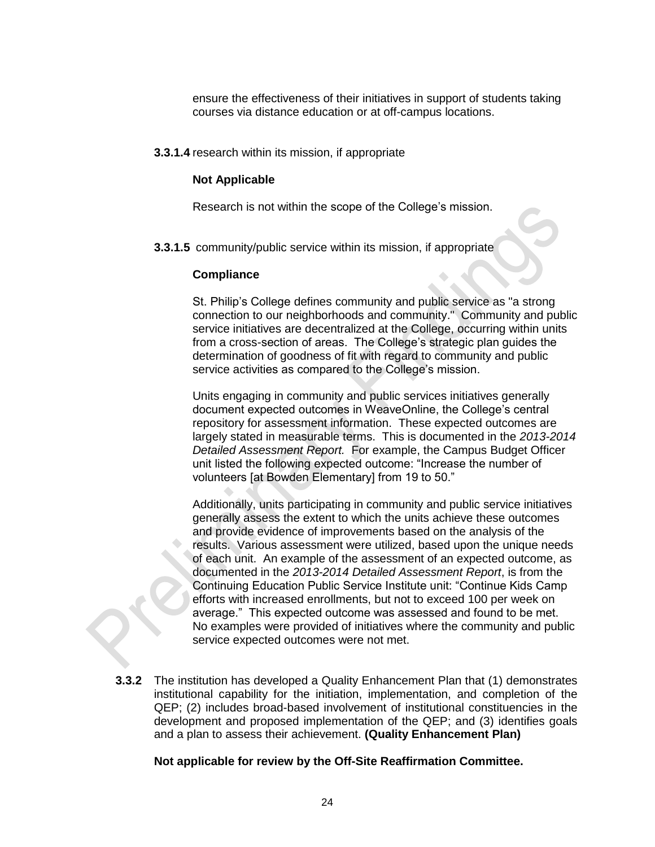ensure the effectiveness of their initiatives in support of students taking courses via distance education or at off-campus locations.

**3.3.1.4** research within its mission, if appropriate

#### **Not Applicable**

Research is not within the scope of the College's mission.

**3.3.1.5** community/public service within its mission, if appropriate

#### **Compliance**

St. Philip's College defines community and public service as "a strong connection to our neighborhoods and community." Community and public service initiatives are decentralized at the College, occurring within units from a cross-section of areas. The College's strategic plan guides the determination of goodness of fit with regard to community and public service activities as compared to the College's mission.

Units engaging in community and public services initiatives generally document expected outcomes in WeaveOnline, the College's central repository for assessment information. These expected outcomes are largely stated in measurable terms. This is documented in the *2013-2014 Detailed Assessment Report.* For example, the Campus Budget Officer unit listed the following expected outcome: "Increase the number of volunteers [at Bowden Elementary] from 19 to 50."

Additionally, units participating in community and public service initiatives generally assess the extent to which the units achieve these outcomes and provide evidence of improvements based on the analysis of the results. Various assessment were utilized, based upon the unique needs of each unit. An example of the assessment of an expected outcome, as documented in the *2013-2014 Detailed Assessment Report*, is from the Continuing Education Public Service Institute unit: "Continue Kids Camp efforts with increased enrollments, but not to exceed 100 per week on average." This expected outcome was assessed and found to be met. No examples were provided of initiatives where the community and public service expected outcomes were not met.

**3.3.2** The institution has developed a Quality Enhancement Plan that (1) demonstrates institutional capability for the initiation, implementation, and completion of the QEP; (2) includes broad-based involvement of institutional constituencies in the development and proposed implementation of the QEP; and (3) identifies goals and a plan to assess their achievement. **(Quality Enhancement Plan)**

**Not applicable for review by the Off-Site Reaffirmation Committee.**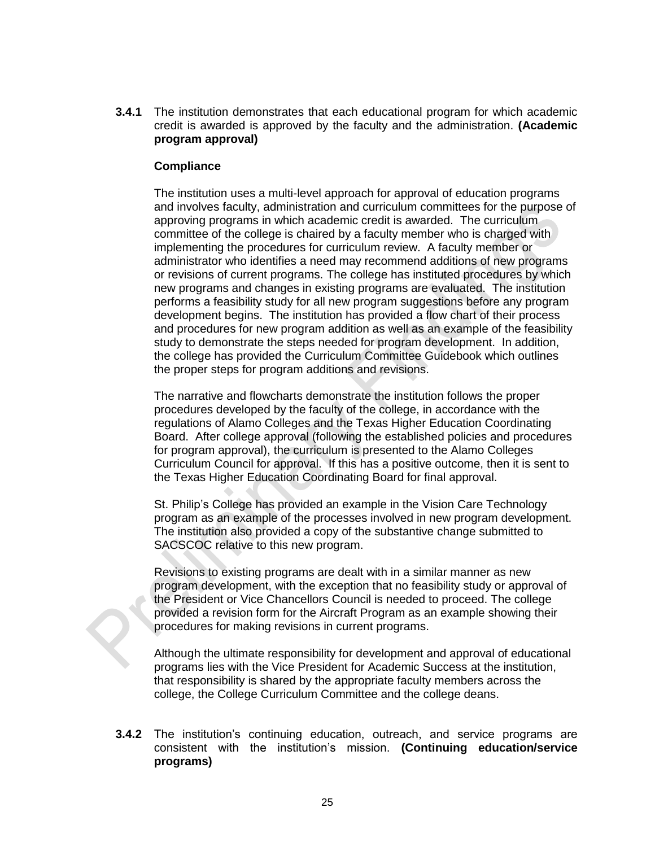**3.4.1** The institution demonstrates that each educational program for which academic credit is awarded is approved by the faculty and the administration. **(Academic program approval)** 

#### **Compliance**

The institution uses a multi-level approach for approval of education programs and involves faculty, administration and curriculum committees for the purpose of approving programs in which academic credit is awarded. The curriculum committee of the college is chaired by a faculty member who is charged with implementing the procedures for curriculum review. A faculty member or administrator who identifies a need may recommend additions of new programs or revisions of current programs. The college has instituted procedures by which new programs and changes in existing programs are evaluated. The institution performs a feasibility study for all new program suggestions before any program development begins. The institution has provided a flow chart of their process and procedures for new program addition as well as an example of the feasibility study to demonstrate the steps needed for program development. In addition, the college has provided the Curriculum Committee Guidebook which outlines the proper steps for program additions and revisions.

The narrative and flowcharts demonstrate the institution follows the proper procedures developed by the faculty of the college, in accordance with the regulations of Alamo Colleges and the Texas Higher Education Coordinating Board. After college approval (following the established policies and procedures for program approval), the curriculum is presented to the Alamo Colleges Curriculum Council for approval. If this has a positive outcome, then it is sent to the Texas Higher Education Coordinating Board for final approval.

St. Philip's College has provided an example in the Vision Care Technology program as an example of the processes involved in new program development. The institution also provided a copy of the substantive change submitted to SACSCOC relative to this new program.

Revisions to existing programs are dealt with in a similar manner as new program development, with the exception that no feasibility study or approval of the President or Vice Chancellors Council is needed to proceed. The college provided a revision form for the Aircraft Program as an example showing their procedures for making revisions in current programs.

Although the ultimate responsibility for development and approval of educational programs lies with the Vice President for Academic Success at the institution, that responsibility is shared by the appropriate faculty members across the college, the College Curriculum Committee and the college deans.

**3.4.2** The institution's continuing education, outreach, and service programs are consistent with the institution's mission. **(Continuing education/service programs)**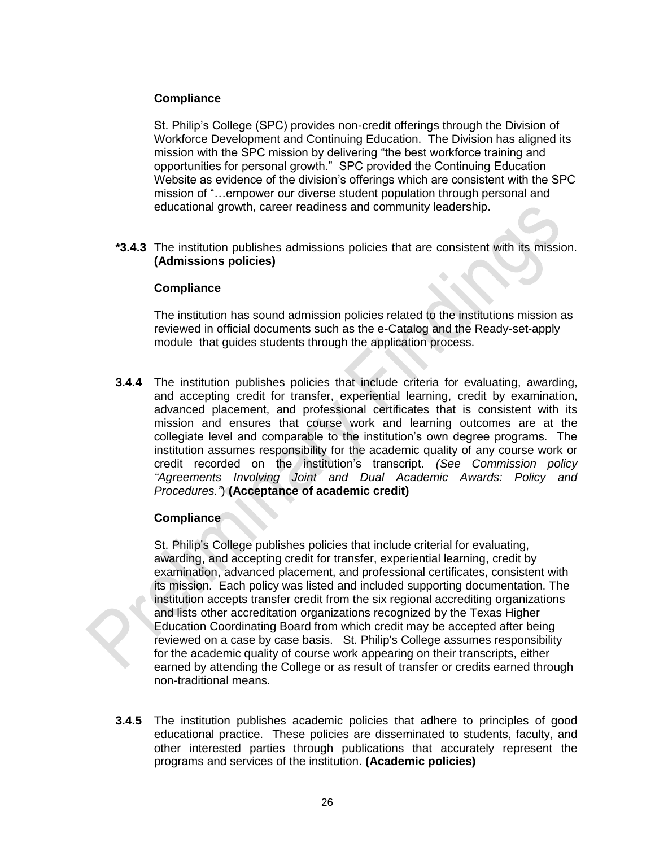#### **Compliance**

St. Philip's College (SPC) provides non-credit offerings through the Division of Workforce Development and Continuing Education. The Division has aligned its mission with the SPC mission by delivering "the best workforce training and opportunities for personal growth." SPC provided the Continuing Education Website as evidence of the division's offerings which are consistent with the SPC mission of "…empower our diverse student population through personal and educational growth, career readiness and community leadership.

**\*3.4.3** The institution publishes admissions policies that are consistent with its mission. **(Admissions policies)**

#### **Compliance**

The institution has sound admission policies related to the institutions mission as reviewed in official documents such as the e-Catalog and the Ready-set-apply module that guides students through the application process.

**3.4.4** The institution publishes policies that include criteria for evaluating, awarding, and accepting credit for transfer, experiential learning, credit by examination, advanced placement, and professional certificates that is consistent with its mission and ensures that course work and learning outcomes are at the collegiate level and comparable to the institution's own degree programs. The institution assumes responsibility for the academic quality of any course work or credit recorded on the institution's transcript. *(See Commission policy "Agreements Involving Joint and Dual Academic Awards: Policy and Procedures."*) **(Acceptance of academic credit)** 

# **Compliance**

St. Philip's College publishes policies that include criterial for evaluating, awarding, and accepting credit for transfer, experiential learning, credit by examination, advanced placement, and professional certificates, consistent with its mission. Each policy was listed and included supporting documentation. The institution accepts transfer credit from the six regional accrediting organizations and lists other accreditation organizations recognized by the Texas Higher Education Coordinating Board from which credit may be accepted after being reviewed on a case by case basis. St. Philip's College assumes responsibility for the academic quality of course work appearing on their transcripts, either earned by attending the College or as result of transfer or credits earned through non-traditional means.

**3.4.5** The institution publishes academic policies that adhere to principles of good educational practice. These policies are disseminated to students, faculty, and other interested parties through publications that accurately represent the programs and services of the institution. **(Academic policies)**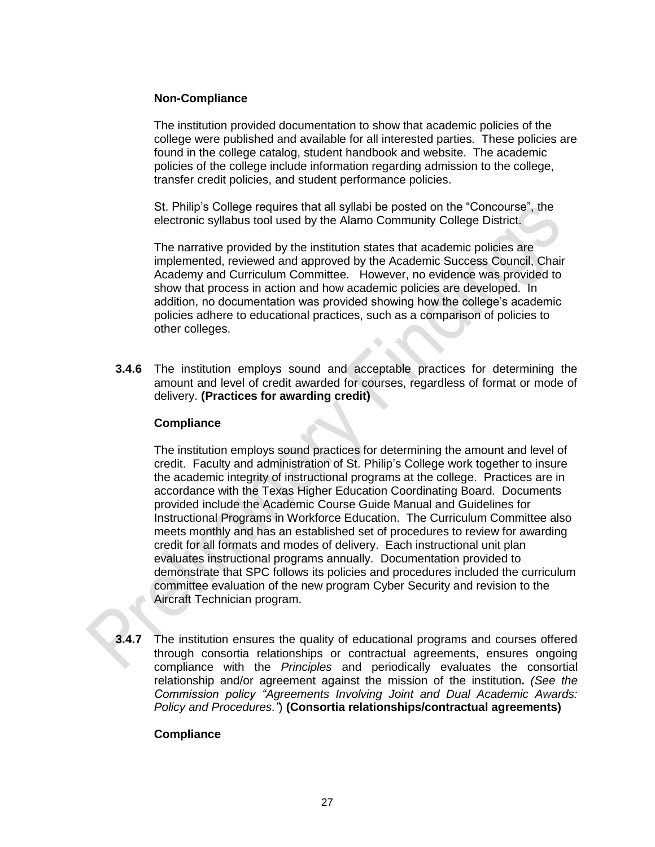#### **Non-Compliance**

The institution provided documentation to show that academic policies of the college were published and available for all interested parties. These policies are found in the college catalog, student handbook and website. The academic policies of the college include information regarding admission to the college, transfer credit policies, and student performance policies.

St. Philip's College requires that all syllabi be posted on the "Concourse", the electronic syllabus tool used by the Alamo Community College District.

The narrative provided by the institution states that academic policies are implemented, reviewed and approved by the Academic Success Council, Chair Academy and Curriculum Committee. However, no evidence was provided to show that process in action and how academic policies are developed. In addition, no documentation was provided showing how the college's academic policies adhere to educational practices, such as a comparison of policies to other colleges.

**3.4.6** The institution employs sound and acceptable practices for determining the amount and level of credit awarded for courses, regardless of format or mode of delivery. **(Practices for awarding credit)**

#### **Compliance**

The institution employs sound practices for determining the amount and level of credit. Faculty and administration of St. Philip's College work together to insure the academic integrity of instructional programs at the college. Practices are in accordance with the Texas Higher Education Coordinating Board. Documents provided include the Academic Course Guide Manual and Guidelines for Instructional Programs in Workforce Education. The Curriculum Committee also meets monthly and has an established set of procedures to review for awarding credit for all formats and modes of delivery. Each instructional unit plan evaluates instructional programs annually. Documentation provided to demonstrate that SPC follows its policies and procedures included the curriculum committee evaluation of the new program Cyber Security and revision to the Aircraft Technician program.

**3.4.7** The institution ensures the quality of educational programs and courses offered through consortia relationships or contractual agreements, ensures ongoing compliance with the *Principles* and periodically evaluates the consortial relationship and/or agreement against the mission of the institution**.** *(See the Commission policy "Agreements Involving Joint and Dual Academic Awards: Policy and Procedures."*) **(Consortia relationships/contractual agreements)**

# **Compliance**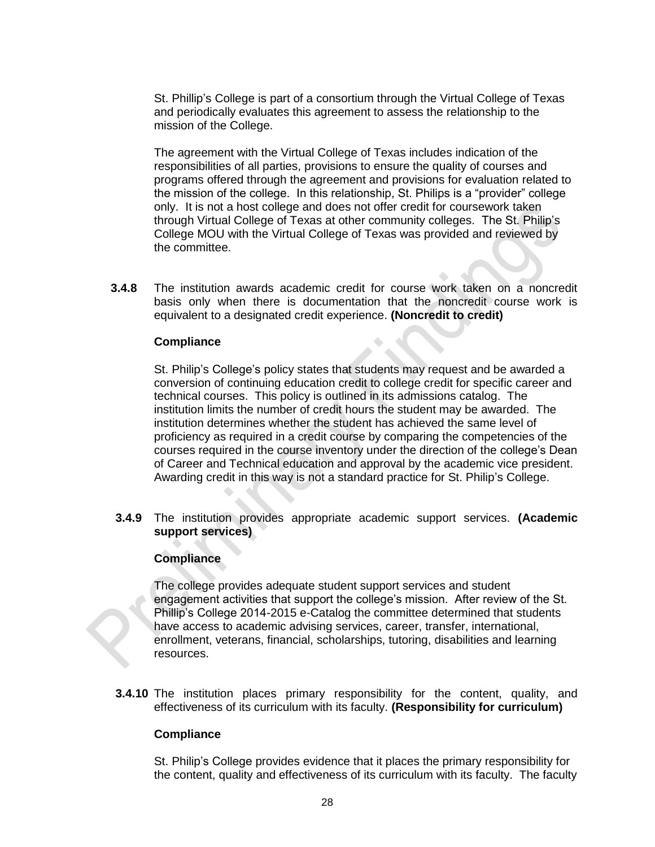St. Phillip's College is part of a consortium through the Virtual College of Texas and periodically evaluates this agreement to assess the relationship to the mission of the College.

The agreement with the Virtual College of Texas includes indication of the responsibilities of all parties, provisions to ensure the quality of courses and programs offered through the agreement and provisions for evaluation related to the mission of the college. In this relationship, St. Philips is a "provider" college only. It is not a host college and does not offer credit for coursework taken through Virtual College of Texas at other community colleges. The St. Philip's College MOU with the Virtual College of Texas was provided and reviewed by the committee.

**3.4.8** The institution awards academic credit for course work taken on a noncredit basis only when there is documentation that the noncredit course work is equivalent to a designated credit experience. **(Noncredit to credit)**

#### **Compliance**

St. Philip's College's policy states that students may request and be awarded a conversion of continuing education credit to college credit for specific career and technical courses. This policy is outlined in its admissions catalog. The institution limits the number of credit hours the student may be awarded. The institution determines whether the student has achieved the same level of proficiency as required in a credit course by comparing the competencies of the courses required in the course inventory under the direction of the college's Dean of Career and Technical education and approval by the academic vice president. Awarding credit in this way is not a standard practice for St. Philip's College.

**3.4.9** The institution provides appropriate academic support services. **(Academic support services)**

#### **Compliance**

The college provides adequate student support services and student engagement activities that support the college's mission. After review of the St. Phillip's College 2014-2015 e-Catalog the committee determined that students have access to academic advising services, career, transfer, international, enrollment, veterans, financial, scholarships, tutoring, disabilities and learning resources.

**3.4.10** The institution places primary responsibility for the content, quality, and effectiveness of its curriculum with its faculty. **(Responsibility for curriculum)**

#### **Compliance**

St. Philip's College provides evidence that it places the primary responsibility for the content, quality and effectiveness of its curriculum with its faculty. The faculty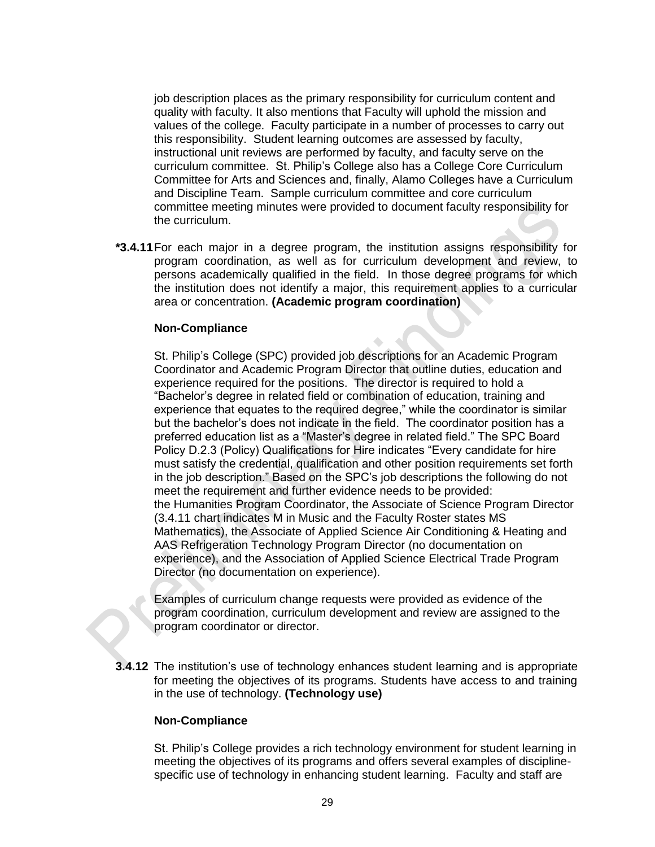job description places as the primary responsibility for curriculum content and quality with faculty. It also mentions that Faculty will uphold the mission and values of the college. Faculty participate in a number of processes to carry out this responsibility. Student learning outcomes are assessed by faculty, instructional unit reviews are performed by faculty, and faculty serve on the curriculum committee. St. Philip's College also has a College Core Curriculum Committee for Arts and Sciences and, finally, Alamo Colleges have a Curriculum and Discipline Team. Sample curriculum committee and core curriculum committee meeting minutes were provided to document faculty responsibility for the curriculum.

**\*3.4.11**For each major in a degree program, the institution assigns responsibility for program coordination, as well as for curriculum development and review, to persons academically qualified in the field. In those degree programs for which the institution does not identify a major, this requirement applies to a curricular area or concentration. **(Academic program coordination)**

#### **Non-Compliance**

St. Philip's College (SPC) provided job descriptions for an Academic Program Coordinator and Academic Program Director that outline duties, education and experience required for the positions. The director is required to hold a "Bachelor's degree in related field or combination of education, training and experience that equates to the required degree," while the coordinator is similar but the bachelor's does not indicate in the field. The coordinator position has a preferred education list as a "Master's degree in related field." The SPC Board Policy D.2.3 (Policy) Qualifications for Hire indicates "Every candidate for hire must satisfy the credential, qualification and other position requirements set forth in the job description." Based on the SPC's job descriptions the following do not meet the requirement and further evidence needs to be provided: the Humanities Program Coordinator, the Associate of Science Program Director (3.4.11 chart indicates M in Music and the Faculty Roster states MS Mathematics), the Associate of Applied Science Air Conditioning & Heating and AAS Refrigeration Technology Program Director (no documentation on experience), and the Association of Applied Science Electrical Trade Program Director (no documentation on experience).

Examples of curriculum change requests were provided as evidence of the program coordination, curriculum development and review are assigned to the program coordinator or director.

**3.4.12** The institution's use of technology enhances student learning and is appropriate for meeting the objectives of its programs. Students have access to and training in the use of technology. **(Technology use)**

# **Non-Compliance**

St. Philip's College provides a rich technology environment for student learning in meeting the objectives of its programs and offers several examples of disciplinespecific use of technology in enhancing student learning. Faculty and staff are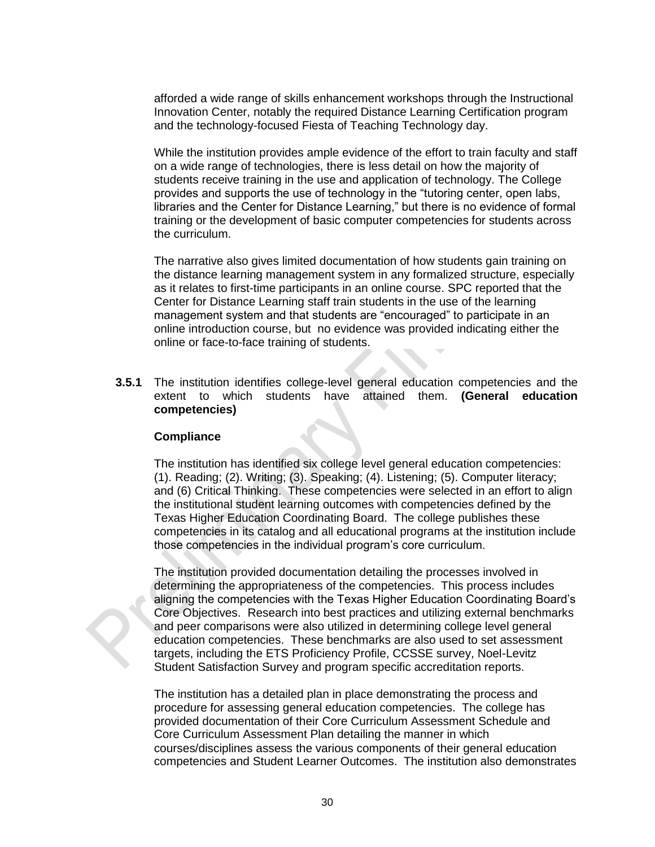afforded a wide range of skills enhancement workshops through the Instructional Innovation Center, notably the required Distance Learning Certification program and the technology-focused Fiesta of Teaching Technology day.

While the institution provides ample evidence of the effort to train faculty and staff on a wide range of technologies, there is less detail on how the majority of students receive training in the use and application of technology. The College provides and supports the use of technology in the "tutoring center, open labs, libraries and the Center for Distance Learning," but there is no evidence of formal training or the development of basic computer competencies for students across the curriculum.

The narrative also gives limited documentation of how students gain training on the distance learning management system in any formalized structure, especially as it relates to first-time participants in an online course. SPC reported that the Center for Distance Learning staff train students in the use of the learning management system and that students are "encouraged" to participate in an online introduction course, but no evidence was provided indicating either the online or face-to-face training of students.

**3.5.1** The institution identifies college-level general education competencies and the extent to which students have attained them. **(General education competencies)**

#### **Compliance**

The institution has identified six college level general education competencies: (1). Reading; (2). Writing; (3). Speaking; (4). Listening; (5). Computer literacy; and (6) Critical Thinking. These competencies were selected in an effort to align the institutional student learning outcomes with competencies defined by the Texas Higher Education Coordinating Board. The college publishes these competencies in its catalog and all educational programs at the institution include those competencies in the individual program's core curriculum.

The institution provided documentation detailing the processes involved in determining the appropriateness of the competencies. This process includes aligning the competencies with the Texas Higher Education Coordinating Board's Core Objectives. Research into best practices and utilizing external benchmarks and peer comparisons were also utilized in determining college level general education competencies. These benchmarks are also used to set assessment targets, including the ETS Proficiency Profile, CCSSE survey, Noel-Levitz Student Satisfaction Survey and program specific accreditation reports.

The institution has a detailed plan in place demonstrating the process and procedure for assessing general education competencies. The college has provided documentation of their Core Curriculum Assessment Schedule and Core Curriculum Assessment Plan detailing the manner in which courses/disciplines assess the various components of their general education competencies and Student Learner Outcomes. The institution also demonstrates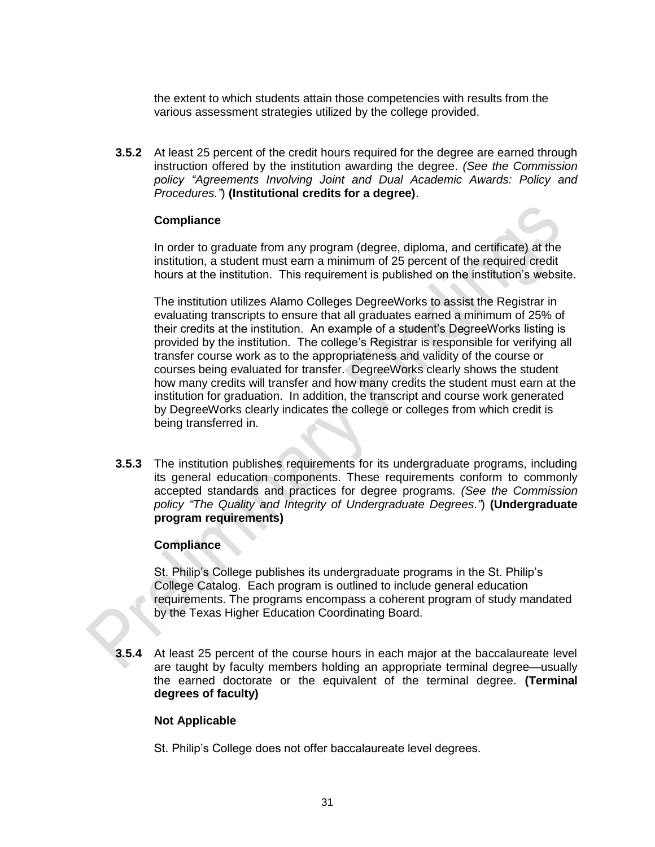the extent to which students attain those competencies with results from the various assessment strategies utilized by the college provided.

**3.5.2** At least 25 percent of the credit hours required for the degree are earned through instruction offered by the institution awarding the degree. *(See the Commission policy "Agreements Involving Joint and Dual Academic Awards: Policy and Procedures."*) **(Institutional credits for a degree)**.

#### **Compliance**

In order to graduate from any program (degree, diploma, and certificate) at the institution, a student must earn a minimum of 25 percent of the required credit hours at the institution. This requirement is published on the institution's website.

The institution utilizes Alamo Colleges DegreeWorks to assist the Registrar in evaluating transcripts to ensure that all graduates earned a minimum of 25% of their credits at the institution. An example of a student's DegreeWorks listing is provided by the institution. The college's Registrar is responsible for verifying all transfer course work as to the appropriateness and validity of the course or courses being evaluated for transfer. DegreeWorks clearly shows the student how many credits will transfer and how many credits the student must earn at the institution for graduation. In addition, the transcript and course work generated by DegreeWorks clearly indicates the college or colleges from which credit is being transferred in.

**3.5.3** The institution publishes requirements for its undergraduate programs, including its general education components. These requirements conform to commonly accepted standards and practices for degree programs. *(See the Commission policy "The Quality and Integrity of Undergraduate Degrees."*) **(Undergraduate program requirements)**

# **Compliance**

St. Philip's College publishes its undergraduate programs in the St. Philip's College Catalog. Each program is outlined to include general education requirements. The programs encompass a coherent program of study mandated by the Texas Higher Education Coordinating Board.

**3.5.4** At least 25 percent of the course hours in each major at the baccalaureate level are taught by faculty members holding an appropriate terminal degree—usually the earned doctorate or the equivalent of the terminal degree. **(Terminal degrees of faculty)**

# **Not Applicable**

St. Philip's College does not offer baccalaureate level degrees.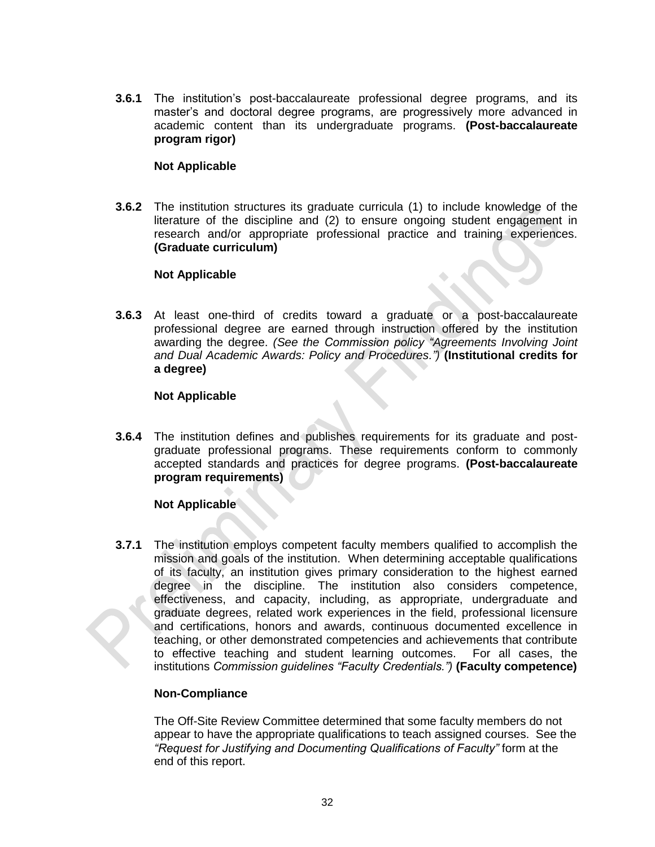**3.6.1** The institution's post-baccalaureate professional degree programs, and its master's and doctoral degree programs, are progressively more advanced in academic content than its undergraduate programs. **(Post-baccalaureate program rigor)**

#### **Not Applicable**

**3.6.2** The institution structures its graduate curricula (1) to include knowledge of the literature of the discipline and (2) to ensure ongoing student engagement in research and/or appropriate professional practice and training experiences. **(Graduate curriculum)**

#### **Not Applicable**

**3.6.3** At least one-third of credits toward a graduate or a post-baccalaureate professional degree are earned through instruction offered by the institution awarding the degree. *(See the Commission policy "Agreements Involving Joint and Dual Academic Awards: Policy and Procedures.")* **(Institutional credits for a degree)** 

#### **Not Applicable**

**3.6.4** The institution defines and publishes requirements for its graduate and postgraduate professional programs. These requirements conform to commonly accepted standards and practices for degree programs. **(Post-baccalaureate program requirements)**

#### **Not Applicable**

**3.7.1** The institution employs competent faculty members qualified to accomplish the mission and goals of the institution. When determining acceptable qualifications of its faculty, an institution gives primary consideration to the highest earned degree in the discipline. The institution also considers competence, effectiveness, and capacity, including, as appropriate, undergraduate and graduate degrees, related work experiences in the field, professional licensure and certifications, honors and awards, continuous documented excellence in teaching, or other demonstrated competencies and achievements that contribute to effective teaching and student learning outcomes. For all cases, the institutions *Commission guidelines "Faculty Credentials.")* **(Faculty competence)** 

#### **Non-Compliance**

The Off-Site Review Committee determined that some faculty members do not appear to have the appropriate qualifications to teach assigned courses. See the *"Request for Justifying and Documenting Qualifications of Faculty"* form at the end of this report.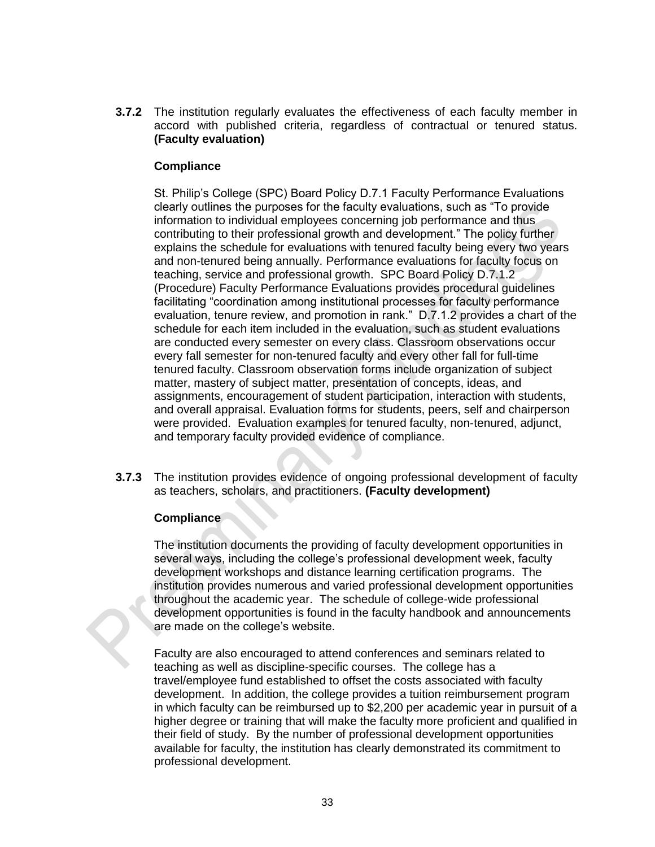**3.7.2** The institution regularly evaluates the effectiveness of each faculty member in accord with published criteria, regardless of contractual or tenured status. **(Faculty evaluation)**

# **Compliance**

St. Philip's College (SPC) Board Policy D.7.1 Faculty Performance Evaluations clearly outlines the purposes for the faculty evaluations, such as "To provide information to individual employees concerning job performance and thus contributing to their professional growth and development." The policy further explains the schedule for evaluations with tenured faculty being every two years and non-tenured being annually. Performance evaluations for faculty focus on teaching, service and professional growth. SPC Board Policy D.7.1.2 (Procedure) Faculty Performance Evaluations provides procedural guidelines facilitating "coordination among institutional processes for faculty performance evaluation, tenure review, and promotion in rank." D.7.1.2 provides a chart of the schedule for each item included in the evaluation, such as student evaluations are conducted every semester on every class. Classroom observations occur every fall semester for non-tenured faculty and every other fall for full-time tenured faculty. Classroom observation forms include organization of subject matter, mastery of subject matter, presentation of concepts, ideas, and assignments, encouragement of student participation, interaction with students, and overall appraisal. Evaluation forms for students, peers, self and chairperson were provided. Evaluation examples for tenured faculty, non-tenured, adjunct, and temporary faculty provided evidence of compliance.

**3.7.3** The institution provides evidence of ongoing professional development of faculty as teachers, scholars, and practitioners. **(Faculty development)**

# **Compliance**

The institution documents the providing of faculty development opportunities in several ways, including the college's professional development week, faculty development workshops and distance learning certification programs. The institution provides numerous and varied professional development opportunities throughout the academic year. The schedule of college-wide professional development opportunities is found in the faculty handbook and announcements are made on the college's website.

Faculty are also encouraged to attend conferences and seminars related to teaching as well as discipline-specific courses. The college has a travel/employee fund established to offset the costs associated with faculty development. In addition, the college provides a tuition reimbursement program in which faculty can be reimbursed up to \$2,200 per academic year in pursuit of a higher degree or training that will make the faculty more proficient and qualified in their field of study. By the number of professional development opportunities available for faculty, the institution has clearly demonstrated its commitment to professional development.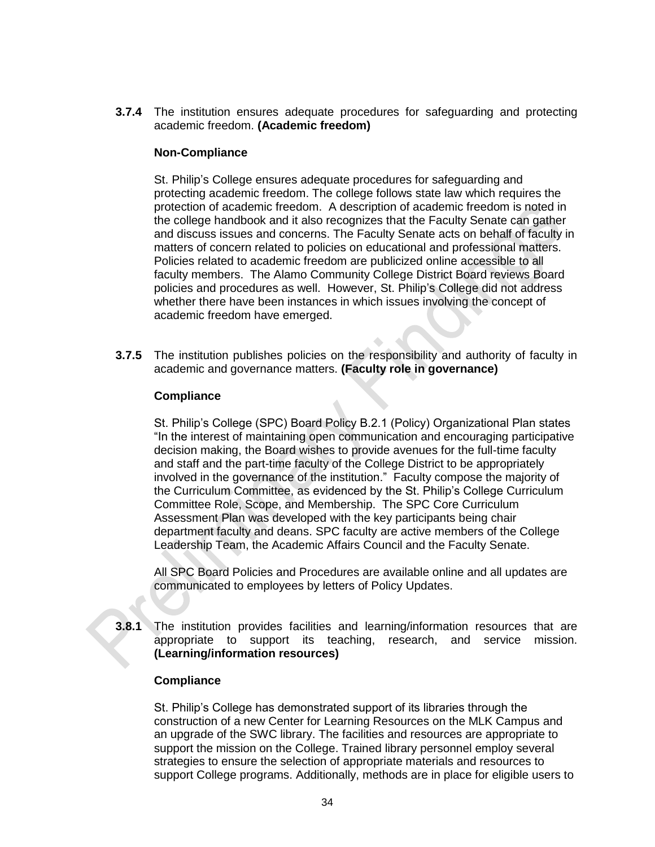**3.7.4** The institution ensures adequate procedures for safeguarding and protecting academic freedom. **(Academic freedom)**

#### **Non-Compliance**

St. Philip's College ensures adequate procedures for safeguarding and protecting academic freedom. The college follows state law which requires the protection of academic freedom. A description of academic freedom is noted in the college handbook and it also recognizes that the Faculty Senate can gather and discuss issues and concerns. The Faculty Senate acts on behalf of faculty in matters of concern related to policies on educational and professional matters. Policies related to academic freedom are publicized online accessible to all faculty members. The Alamo Community College District Board reviews Board policies and procedures as well. However, St. Philip's College did not address whether there have been instances in which issues involving the concept of academic freedom have emerged.

**3.7.5** The institution publishes policies on the responsibility and authority of faculty in academic and governance matters. **(Faculty role in governance)**

#### **Compliance**

St. Philip's College (SPC) Board Policy B.2.1 (Policy) Organizational Plan states "In the interest of maintaining open communication and encouraging participative decision making, the Board wishes to provide avenues for the full-time faculty and staff and the part-time faculty of the College District to be appropriately involved in the governance of the institution." Faculty compose the majority of the Curriculum Committee, as evidenced by the St. Philip's College Curriculum Committee Role, Scope, and Membership. The SPC Core Curriculum Assessment Plan was developed with the key participants being chair department faculty and deans. SPC faculty are active members of the College Leadership Team, the Academic Affairs Council and the Faculty Senate.

All SPC Board Policies and Procedures are available online and all updates are communicated to employees by letters of Policy Updates.

**3.8.1** The institution provides facilities and learning/information resources that are appropriate to support its teaching, research, and service mission. **(Learning/information resources)**

#### **Compliance**

St. Philip's College has demonstrated support of its libraries through the construction of a new Center for Learning Resources on the MLK Campus and an upgrade of the SWC library. The facilities and resources are appropriate to support the mission on the College. Trained library personnel employ several strategies to ensure the selection of appropriate materials and resources to support College programs. Additionally, methods are in place for eligible users to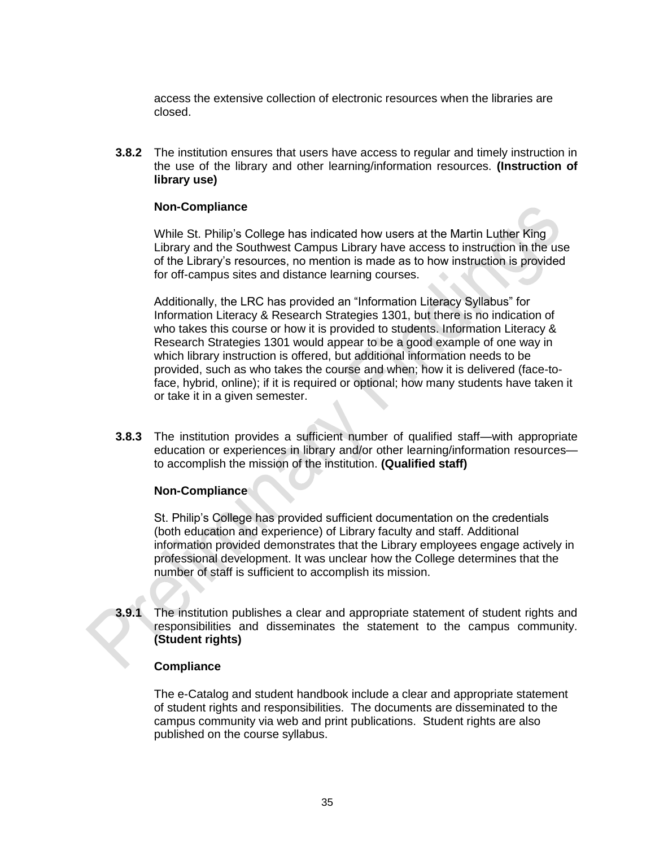access the extensive collection of electronic resources when the libraries are closed.

**3.8.2** The institution ensures that users have access to regular and timely instruction in the use of the library and other learning/information resources. **(Instruction of library use)**

#### **Non-Compliance**

While St. Philip's College has indicated how users at the Martin Luther King Library and the Southwest Campus Library have access to instruction in the use of the Library's resources, no mention is made as to how instruction is provided for off-campus sites and distance learning courses.

Additionally, the LRC has provided an "Information Literacy Syllabus" for Information Literacy & Research Strategies 1301, but there is no indication of who takes this course or how it is provided to students. Information Literacy & Research Strategies 1301 would appear to be a good example of one way in which library instruction is offered, but additional information needs to be provided, such as who takes the course and when; how it is delivered (face-toface, hybrid, online); if it is required or optional; how many students have taken it or take it in a given semester.

**3.8.3** The institution provides a sufficient number of qualified staff—with appropriate education or experiences in library and/or other learning/information resources to accomplish the mission of the institution. **(Qualified staff)**

#### **Non-Compliance**

St. Philip's College has provided sufficient documentation on the credentials (both education and experience) of Library faculty and staff. Additional information provided demonstrates that the Library employees engage actively in professional development. It was unclear how the College determines that the number of staff is sufficient to accomplish its mission.

**3.9.1** The institution publishes a clear and appropriate statement of student rights and responsibilities and disseminates the statement to the campus community. **(Student rights)**

#### **Compliance**

The e-Catalog and student handbook include a clear and appropriate statement of student rights and responsibilities. The documents are disseminated to the campus community via web and print publications. Student rights are also published on the course syllabus.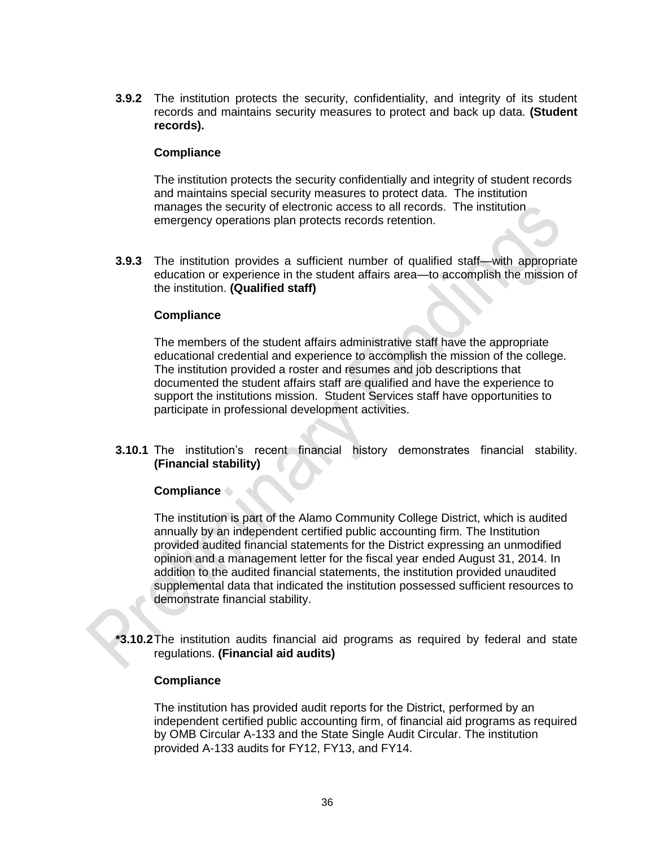**3.9.2** The institution protects the security, confidentiality, and integrity of its student records and maintains security measures to protect and back up data. **(Student records).**

#### **Compliance**

The institution protects the security confidentially and integrity of student records and maintains special security measures to protect data. The institution manages the security of electronic access to all records. The institution emergency operations plan protects records retention.

**3.9.3** The institution provides a sufficient number of qualified staff—with appropriate education or experience in the student affairs area—to accomplish the mission of the institution. **(Qualified staff)**

#### **Compliance**

The members of the student affairs administrative staff have the appropriate educational credential and experience to accomplish the mission of the college. The institution provided a roster and resumes and job descriptions that documented the student affairs staff are qualified and have the experience to support the institutions mission. Student Services staff have opportunities to participate in professional development activities.

**3.10.1** The institution's recent financial history demonstrates financial stability. **(Financial stability)**

#### **Compliance**

The institution is part of the Alamo Community College District, which is audited annually by an independent certified public accounting firm. The Institution provided audited financial statements for the District expressing an unmodified opinion and a management letter for the fiscal year ended August 31, 2014. In addition to the audited financial statements, the institution provided unaudited supplemental data that indicated the institution possessed sufficient resources to demonstrate financial stability.

**\*3.10.2**The institution audits financial aid programs as required by federal and state regulations. **(Financial aid audits)**

#### **Compliance**

The institution has provided audit reports for the District, performed by an independent certified public accounting firm, of financial aid programs as required by OMB Circular A-133 and the State Single Audit Circular. The institution provided A-133 audits for FY12, FY13, and FY14.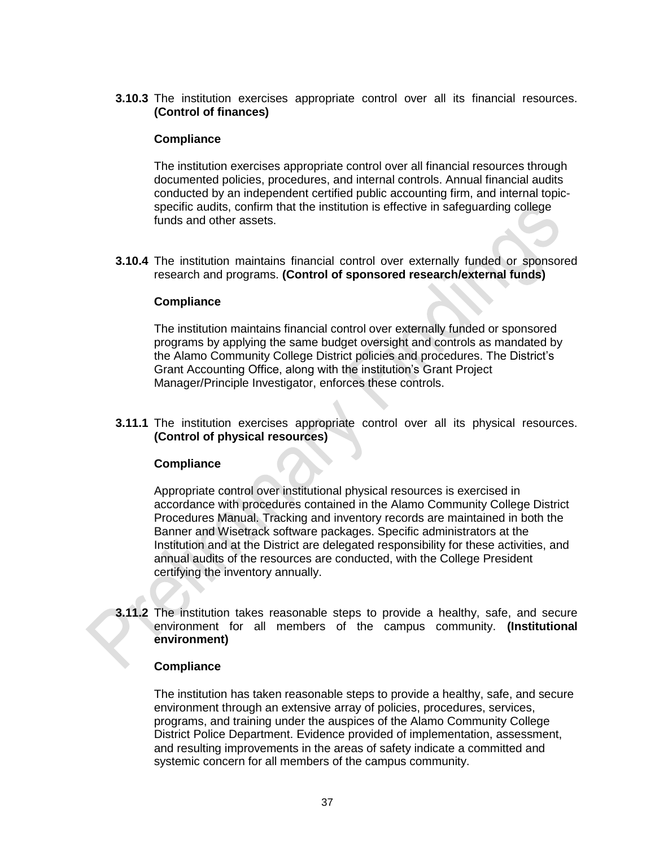**3.10.3** The institution exercises appropriate control over all its financial resources. **(Control of finances)**

#### **Compliance**

The institution exercises appropriate control over all financial resources through documented policies, procedures, and internal controls. Annual financial audits conducted by an independent certified public accounting firm, and internal topicspecific audits, confirm that the institution is effective in safeguarding college funds and other assets.

**3.10.4** The institution maintains financial control over externally funded or sponsored research and programs. **(Control of sponsored research/external funds)**

#### **Compliance**

The institution maintains financial control over externally funded or sponsored programs by applying the same budget oversight and controls as mandated by the Alamo Community College District policies and procedures. The District's Grant Accounting Office, along with the institution's Grant Project Manager/Principle Investigator, enforces these controls.

**3.11.1** The institution exercises appropriate control over all its physical resources. **(Control of physical resources)**

#### **Compliance**

Appropriate control over institutional physical resources is exercised in accordance with procedures contained in the Alamo Community College District Procedures Manual. Tracking and inventory records are maintained in both the Banner and Wisetrack software packages. Specific administrators at the Institution and at the District are delegated responsibility for these activities, and annual audits of the resources are conducted, with the College President certifying the inventory annually.

**3.11.2** The institution takes reasonable steps to provide a healthy, safe, and secure environment for all members of the campus community. **(Institutional environment)** 

#### **Compliance**

The institution has taken reasonable steps to provide a healthy, safe, and secure environment through an extensive array of policies, procedures, services, programs, and training under the auspices of the Alamo Community College District Police Department. Evidence provided of implementation, assessment, and resulting improvements in the areas of safety indicate a committed and systemic concern for all members of the campus community.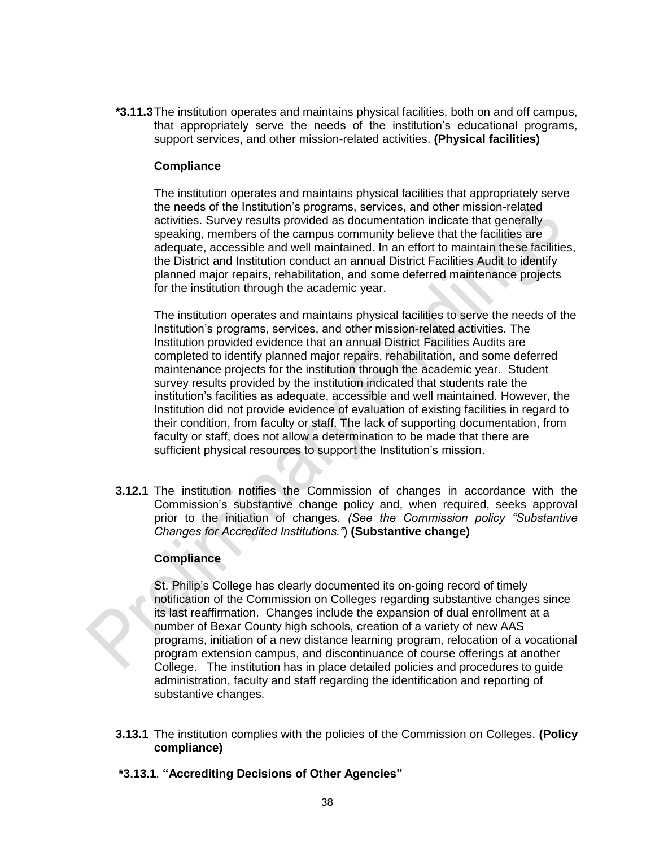**\*3.11.3**The institution operates and maintains physical facilities, both on and off campus, that appropriately serve the needs of the institution's educational programs, support services, and other mission-related activities. **(Physical facilities)**

#### **Compliance**

The institution operates and maintains physical facilities that appropriately serve the needs of the Institution's programs, services, and other mission-related activities. Survey results provided as documentation indicate that generally speaking, members of the campus community believe that the facilities are adequate, accessible and well maintained. In an effort to maintain these facilities, the District and Institution conduct an annual District Facilities Audit to identify planned major repairs, rehabilitation, and some deferred maintenance projects for the institution through the academic year.

The institution operates and maintains physical facilities to serve the needs of the Institution's programs, services, and other mission-related activities. The Institution provided evidence that an annual District Facilities Audits are completed to identify planned major repairs, rehabilitation, and some deferred maintenance projects for the institution through the academic year. Student survey results provided by the institution indicated that students rate the institution's facilities as adequate, accessible and well maintained. However, the Institution did not provide evidence of evaluation of existing facilities in regard to their condition, from faculty or staff. The lack of supporting documentation, from faculty or staff, does not allow a determination to be made that there are sufficient physical resources to support the Institution's mission.

**3.12.1** The institution notifies the Commission of changes in accordance with the Commission's substantive change policy and, when required, seeks approval prior to the initiation of changes. *(See the Commission policy "Substantive Changes for Accredited Institutions."*) **(Substantive change)**

#### **Compliance**

St. Philip's College has clearly documented its on-going record of timely notification of the Commission on Colleges regarding substantive changes since its last reaffirmation. Changes include the expansion of dual enrollment at a number of Bexar County high schools, creation of a variety of new AAS programs, initiation of a new distance learning program, relocation of a vocational program extension campus, and discontinuance of course offerings at another College. The institution has in place detailed policies and procedures to guide administration, faculty and staff regarding the identification and reporting of substantive changes.

**3.13.1** The institution complies with the policies of the Commission on Colleges. **(Policy compliance)**

# **\*3.13.1**. **"Accrediting Decisions of Other Agencies"**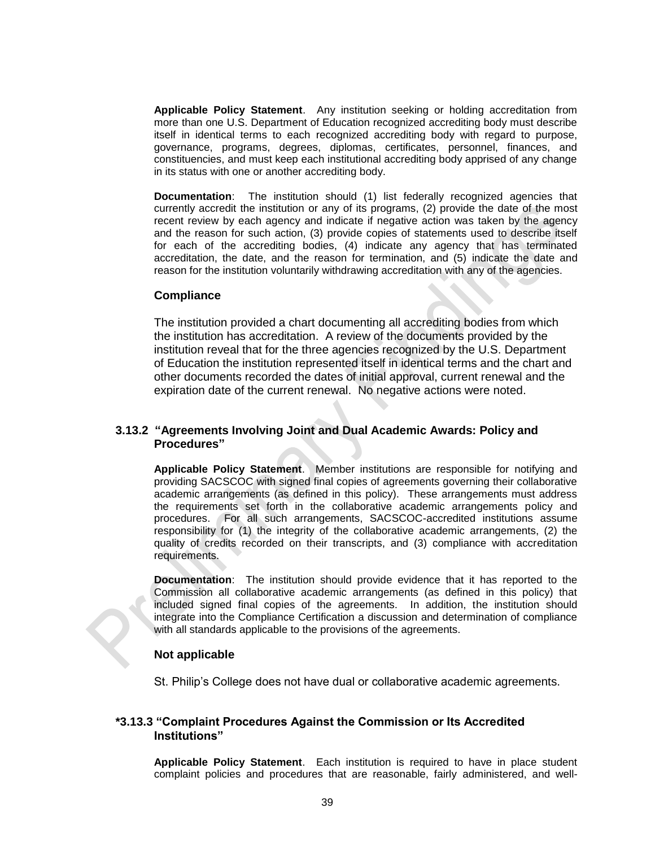**Applicable Policy Statement**. Any institution seeking or holding accreditation from more than one U.S. Department of Education recognized accrediting body must describe itself in identical terms to each recognized accrediting body with regard to purpose, governance, programs, degrees, diplomas, certificates, personnel, finances, and constituencies, and must keep each institutional accrediting body apprised of any change in its status with one or another accrediting body.

**Documentation**: The institution should (1) list federally recognized agencies that currently accredit the institution or any of its programs, (2) provide the date of the most recent review by each agency and indicate if negative action was taken by the agency and the reason for such action, (3) provide copies of statements used to describe itself for each of the accrediting bodies, (4) indicate any agency that has terminated accreditation, the date, and the reason for termination, and (5) indicate the date and reason for the institution voluntarily withdrawing accreditation with any of the agencies.

#### **Compliance**

The institution provided a chart documenting all accrediting bodies from which the institution has accreditation. A review of the documents provided by the institution reveal that for the three agencies recognized by the U.S. Department of Education the institution represented itself in identical terms and the chart and other documents recorded the dates of initial approval, current renewal and the expiration date of the current renewal. No negative actions were noted.

#### **3.13.2 "Agreements Involving Joint and Dual Academic Awards: Policy and Procedures"**

**Applicable Policy Statement**. Member institutions are responsible for notifying and providing SACSCOC with signed final copies of agreements governing their collaborative academic arrangements (as defined in this policy). These arrangements must address the requirements set forth in the collaborative academic arrangements policy and procedures. For all such arrangements, SACSCOC-accredited institutions assume responsibility for (1) the integrity of the collaborative academic arrangements, (2) the quality of credits recorded on their transcripts, and (3) compliance with accreditation requirements.

**Documentation**: The institution should provide evidence that it has reported to the Commission all collaborative academic arrangements (as defined in this policy) that included signed final copies of the agreements. In addition, the institution should integrate into the Compliance Certification a discussion and determination of compliance with all standards applicable to the provisions of the agreements.

#### **Not applicable**

St. Philip's College does not have dual or collaborative academic agreements.

#### **\*3.13.3 "Complaint Procedures Against the Commission or Its Accredited Institutions"**

**Applicable Policy Statement**. Each institution is required to have in place student complaint policies and procedures that are reasonable, fairly administered, and well-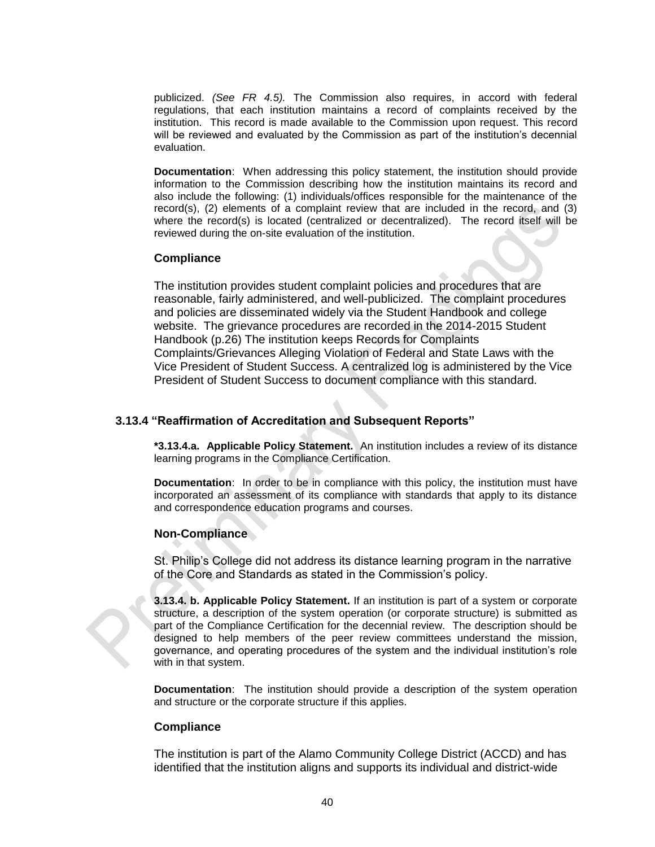publicized. *(See FR 4.5).* The Commission also requires, in accord with federal regulations, that each institution maintains a record of complaints received by the institution. This record is made available to the Commission upon request. This record will be reviewed and evaluated by the Commission as part of the institution's decennial evaluation.

**Documentation**: When addressing this policy statement, the institution should provide information to the Commission describing how the institution maintains its record and also include the following: (1) individuals/offices responsible for the maintenance of the record(s), (2) elements of a complaint review that are included in the record, and (3) where the record(s) is located (centralized or decentralized). The record itself will be reviewed during the on-site evaluation of the institution.

#### **Compliance**

The institution provides student complaint policies and procedures that are reasonable, fairly administered, and well-publicized. The complaint procedures and policies are disseminated widely via the Student Handbook and college website. The grievance procedures are recorded in the 2014-2015 Student Handbook (p.26) The institution keeps Records for Complaints Complaints/Grievances Alleging Violation of Federal and State Laws with the Vice President of Student Success. A centralized log is administered by the Vice President of Student Success to document compliance with this standard.

#### **3.13.4 "Reaffirmation of Accreditation and Subsequent Reports"**

**\*3.13.4.a. Applicable Policy Statement.** An institution includes a review of its distance learning programs in the Compliance Certification.

**Documentation**: In order to be in compliance with this policy, the institution must have incorporated an assessment of its compliance with standards that apply to its distance and correspondence education programs and courses.

#### **Non-Compliance**

St. Philip's College did not address its distance learning program in the narrative of the Core and Standards as stated in the Commission's policy.

**3.13.4. b. Applicable Policy Statement.** If an institution is part of a system or corporate structure, a description of the system operation (or corporate structure) is submitted as part of the Compliance Certification for the decennial review. The description should be designed to help members of the peer review committees understand the mission, governance, and operating procedures of the system and the individual institution's role with in that system.

**Documentation**: The institution should provide a description of the system operation and structure or the corporate structure if this applies.

#### **Compliance**

The institution is part of the Alamo Community College District (ACCD) and has identified that the institution aligns and supports its individual and district-wide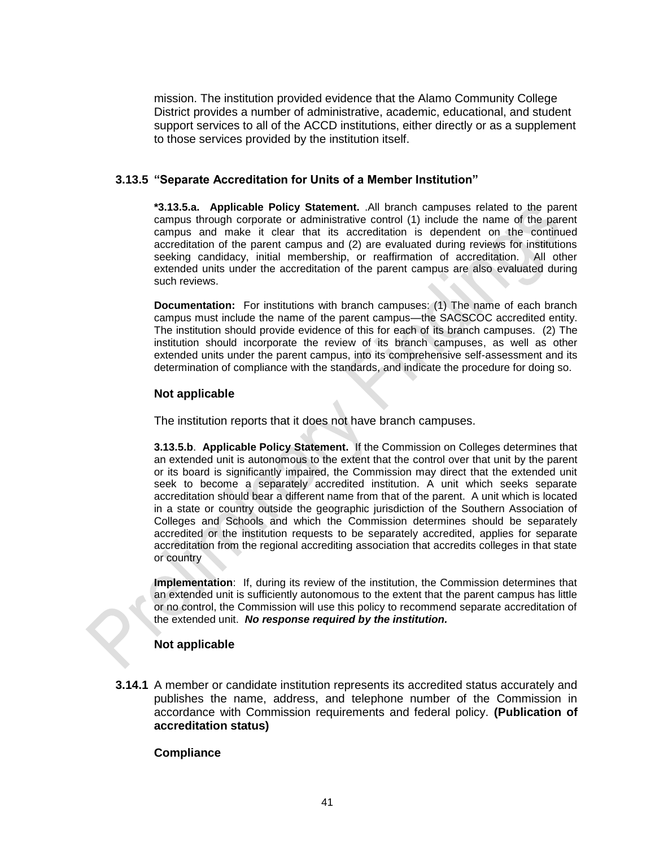mission. The institution provided evidence that the Alamo Community College District provides a number of administrative, academic, educational, and student support services to all of the ACCD institutions, either directly or as a supplement to those services provided by the institution itself.

#### **3.13.5 "Separate Accreditation for Units of a Member Institution"**

**\*3.13.5.a. Applicable Policy Statement.** .All branch campuses related to the parent campus through corporate or administrative control (1) include the name of the parent campus and make it clear that its accreditation is dependent on the continued accreditation of the parent campus and (2) are evaluated during reviews for institutions seeking candidacy, initial membership, or reaffirmation of accreditation. All other extended units under the accreditation of the parent campus are also evaluated during such reviews.

**Documentation:** For institutions with branch campuses: (1) The name of each branch campus must include the name of the parent campus—the SACSCOC accredited entity. The institution should provide evidence of this for each of its branch campuses. (2) The institution should incorporate the review of its branch campuses, as well as other extended units under the parent campus, into its comprehensive self-assessment and its determination of compliance with the standards, and indicate the procedure for doing so.

#### **Not applicable**

The institution reports that it does not have branch campuses.

**3.13.5.b**. **Applicable Policy Statement.** If the Commission on Colleges determines that an extended unit is autonomous to the extent that the control over that unit by the parent or its board is significantly impaired, the Commission may direct that the extended unit seek to become a separately accredited institution. A unit which seeks separate accreditation should bear a different name from that of the parent. A unit which is located in a state or country outside the geographic jurisdiction of the Southern Association of Colleges and Schools and which the Commission determines should be separately accredited or the institution requests to be separately accredited, applies for separate accreditation from the regional accrediting association that accredits colleges in that state or country

**Implementation**: If, during its review of the institution, the Commission determines that an extended unit is sufficiently autonomous to the extent that the parent campus has little or no control, the Commission will use this policy to recommend separate accreditation of the extended unit. *No response required by the institution.*

#### **Not applicable**

**3.14.1** A member or candidate institution represents its accredited status accurately and publishes the name, address, and telephone number of the Commission in accordance with Commission requirements and federal policy. **(Publication of accreditation status)** 

#### **Compliance**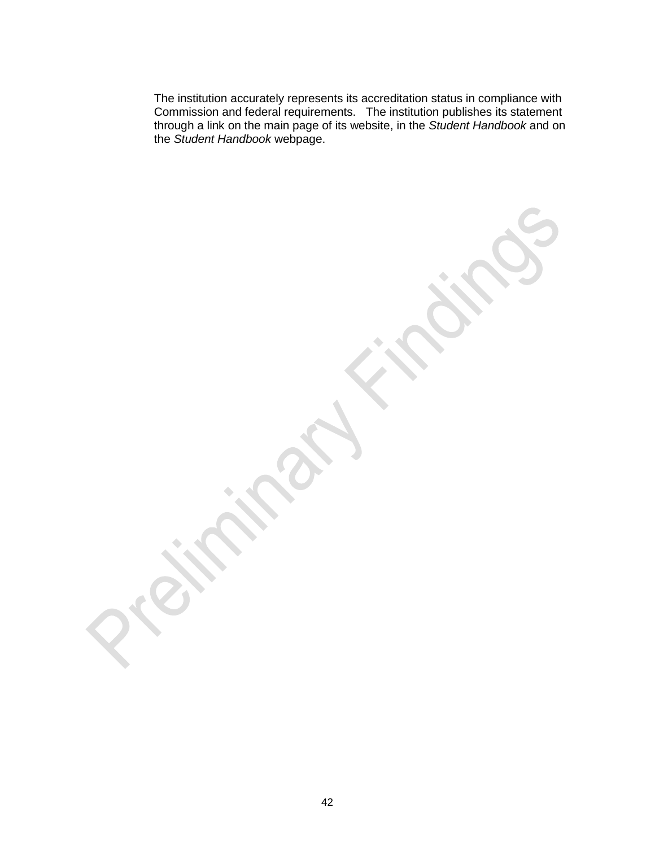The institution accurately represents its accreditation status in compliance with Commission and federal requirements. The institution publishes its statement through a link on the main page of its website, in the *Student Handbook* and on the *Student Handbook* webpage.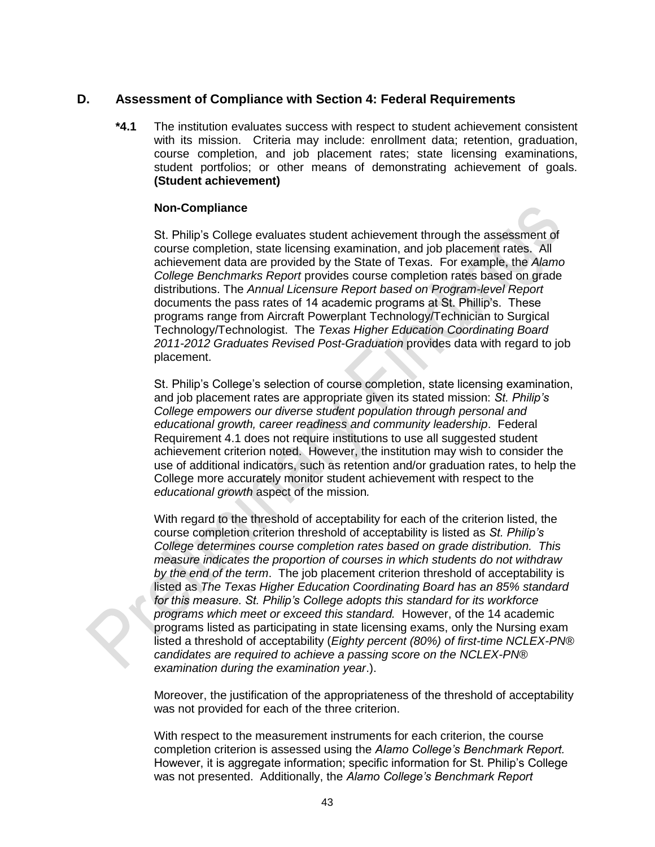# **D. Assessment of Compliance with Section 4: Federal Requirements**

**\*4.1** The institution evaluates success with respect to student achievement consistent with its mission. Criteria may include: enrollment data; retention, graduation, course completion, and job placement rates; state licensing examinations, student portfolios; or other means of demonstrating achievement of goals. **(Student achievement)**

#### **Non-Compliance**

St. Philip's College evaluates student achievement through the assessment of course completion, state licensing examination, and job placement rates. All achievement data are provided by the State of Texas. For example, the *Alamo College Benchmarks Report* provides course completion rates based on grade distributions. The *Annual Licensure Report based on Program-level Report* documents the pass rates of 14 academic programs at St. Phillip's. These programs range from Aircraft Powerplant Technology/Technician to Surgical Technology/Technologist. The *Texas Higher Education Coordinating Board 2011-2012 Graduates Revised Post-Graduation* provides data with regard to job placement.

St. Philip's College's selection of course completion, state licensing examination, and job placement rates are appropriate given its stated mission: *St. Philip's College empowers our diverse student population through personal and educational growth, career readiness and community leadership*. Federal Requirement 4.1 does not require institutions to use all suggested student achievement criterion noted. However, the institution may wish to consider the use of additional indicators, such as retention and/or graduation rates, to help the College more accurately monitor student achievement with respect to the *educational growth* aspect of the mission*.*

With regard to the threshold of acceptability for each of the criterion listed, the course completion criterion threshold of acceptability is listed as *St. Philip's College determines course completion rates based on grade distribution. This measure indicates the proportion of courses in which students do not withdraw by the end of the term*. The job placement criterion threshold of acceptability is listed as *The Texas Higher Education Coordinating Board has an 85% standard for this measure. St. Philip's College adopts this standard for its workforce programs which meet or exceed this standard.* However, of the 14 academic programs listed as participating in state licensing exams, only the Nursing exam listed a threshold of acceptability (*Eighty percent (80%) of first-time NCLEX-PN® candidates are required to achieve a passing score on the NCLEX-PN® examination during the examination year*.).

Moreover, the justification of the appropriateness of the threshold of acceptability was not provided for each of the three criterion.

With respect to the measurement instruments for each criterion, the course completion criterion is assessed using the *Alamo College's Benchmark Report.*  However, it is aggregate information; specific information for St. Philip's College was not presented. Additionally, the *Alamo College's Benchmark Report*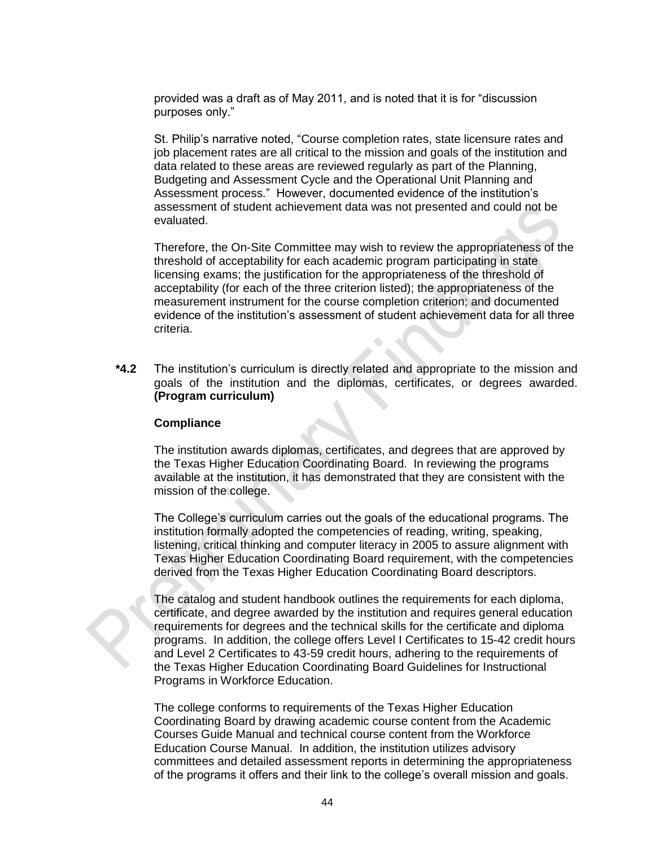provided was a draft as of May 2011, and is noted that it is for "discussion purposes only."

St. Philip's narrative noted, "Course completion rates, state licensure rates and job placement rates are all critical to the mission and goals of the institution and data related to these areas are reviewed regularly as part of the Planning, Budgeting and Assessment Cycle and the Operational Unit Planning and Assessment process." However, documented evidence of the institution's assessment of student achievement data was not presented and could not be evaluated.

Therefore, the On-Site Committee may wish to review the appropriateness of the threshold of acceptability for each academic program participating in state licensing exams; the justification for the appropriateness of the threshold of acceptability (for each of the three criterion listed); the appropriateness of the measurement instrument for the course completion criterion; and documented evidence of the institution's assessment of student achievement data for all three criteria.

**\*4.2** The institution's curriculum is directly related and appropriate to the mission and goals of the institution and the diplomas, certificates, or degrees awarded. **(Program curriculum)**

#### **Compliance**

The institution awards diplomas, certificates, and degrees that are approved by the Texas Higher Education Coordinating Board. In reviewing the programs available at the institution, it has demonstrated that they are consistent with the mission of the college.

The College's curriculum carries out the goals of the educational programs. The institution formally adopted the competencies of reading, writing, speaking, listening, critical thinking and computer literacy in 2005 to assure alignment with Texas Higher Education Coordinating Board requirement, with the competencies derived from the Texas Higher Education Coordinating Board descriptors.

The catalog and student handbook outlines the requirements for each diploma, certificate, and degree awarded by the institution and requires general education requirements for degrees and the technical skills for the certificate and diploma programs. In addition, the college offers Level I Certificates to 15-42 credit hours and Level 2 Certificates to 43-59 credit hours, adhering to the requirements of the Texas Higher Education Coordinating Board Guidelines for Instructional Programs in Workforce Education.

The college conforms to requirements of the Texas Higher Education Coordinating Board by drawing academic course content from the Academic Courses Guide Manual and technical course content from the Workforce Education Course Manual. In addition, the institution utilizes advisory committees and detailed assessment reports in determining the appropriateness of the programs it offers and their link to the college's overall mission and goals.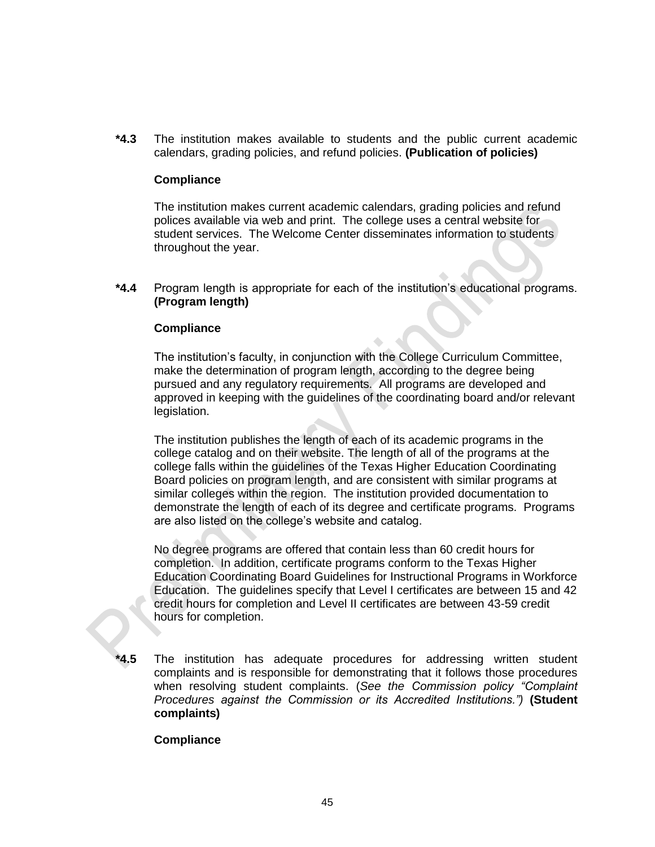**\*4.3** The institution makes available to students and the public current academic calendars, grading policies, and refund policies. **(Publication of policies)**

#### **Compliance**

The institution makes current academic calendars, grading policies and refund polices available via web and print. The college uses a central website for student services. The Welcome Center disseminates information to students throughout the year.

**\*4.4** Program length is appropriate for each of the institution's educational programs. **(Program length)**

#### **Compliance**

The institution's faculty, in conjunction with the [College Curriculum Committee,](https://app.weaveonline.com/Affirm/SACS/Data/StandardDataEntry/Download?AccreditationDocumentGUID=8bb6c646-34ef-4c07-92d0-b740fb6b78bc&AccreditationDocumentLinkGUID=b95fcf86-0e0b-427c-a174-c7778bfbcfcd) make the determination of program length, according to the degree being pursued and any regulatory requirements. All programs are developed and approved in keeping with the guidelines of the coordinating board and/or relevant legislation.

The institution publishes the length of each of its academic programs in the college catalog and on their website. The length of all of the programs at the college falls within the guidelines of the Texas Higher Education Coordinating Board policies on program length, and are consistent with similar programs at similar colleges within the region. The institution provided documentation to demonstrate the length of each of its degree and certificate programs. Programs are also listed on the college's website and catalog.

No degree programs are offered that contain less than 60 credit hours for completion. In addition, certificate programs conform to the Texas Higher Education Coordinating Board Guidelines for Instructional Programs in Workforce Education. The guidelines specify that Level I certificates are between 15 and 42 credit hours for completion and Level II certificates are between 43-59 credit hours for completion.

**\*4.5** The institution has adequate procedures for addressing written student complaints and is responsible for demonstrating that it follows those procedures when resolving student complaints. (*See the Commission policy "Complaint Procedures against the Commission or its Accredited Institutions.")* **(Student complaints)**

#### **Compliance**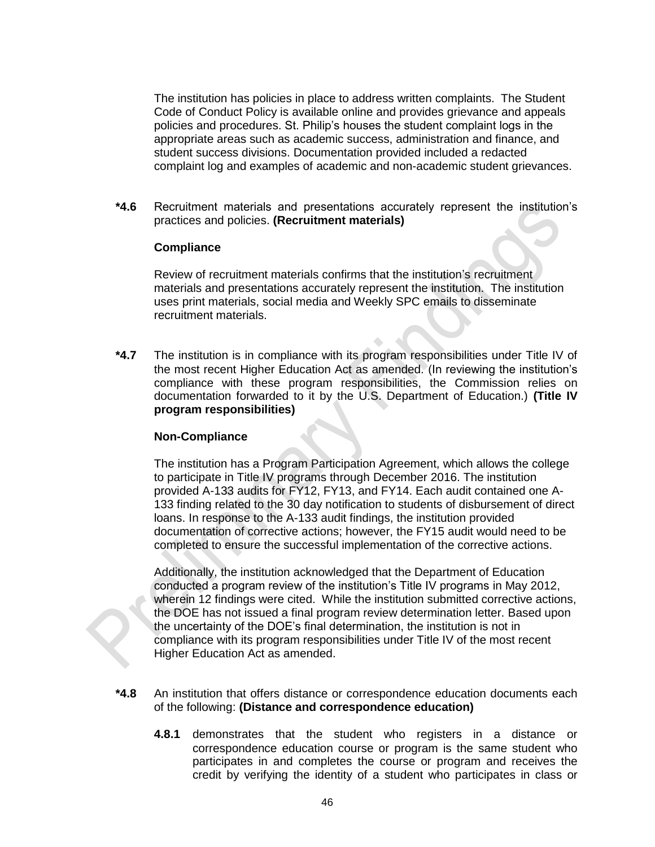The institution has policies in place to address written complaints. The [Student](file:///D:/St%20Philips%20College%202016%20SACSCOC%20Reaffirmation%20Compliance%20Report/St.%20Philipâs%20College%202016%20Compliance%20Report%20Electronic%20HTML%20Submission/docs/Student%20Code%20of%20Conduct.pdf)  [Code of Conduct](file:///D:/St%20Philips%20College%202016%20SACSCOC%20Reaffirmation%20Compliance%20Report/St.%20Philipâs%20College%202016%20Compliance%20Report%20Electronic%20HTML%20Submission/docs/Student%20Code%20of%20Conduct.pdf) Policy is available online and provides grievance and appeals policies and procedures. St. Philip's houses the student complaint logs in the appropriate areas such as academic success, administration and finance, and student success divisions. Documentation provided included a redacted complaint log and examples of academic and non-academic student grievances.

**\*4.6** Recruitment materials and presentations accurately represent the institution's practices and policies. **(Recruitment materials)**

#### **Compliance**

Review of recruitment materials confirms that the institution's recruitment materials and presentations accurately represent the institution. The institution uses print materials, social media and Weekly SPC emails to disseminate recruitment materials.

**\*4.7** The institution is in compliance with its program responsibilities under Title IV of the most recent Higher Education Act as amended. (In reviewing the institution's compliance with these program responsibilities, the Commission relies on documentation forwarded to it by the U.S. Department of Education.) **(Title IV program responsibilities)**

# **Non-Compliance**

The institution has a Program Participation Agreement, which allows the college to participate in Title IV programs through December 2016. The institution provided A-133 audits for FY12, FY13, and FY14. Each audit contained one A-133 finding related to the 30 day notification to students of disbursement of direct loans. In response to the A-133 audit findings, the institution provided documentation of corrective actions; however, the FY15 audit would need to be completed to ensure the successful implementation of the corrective actions.

Additionally, the institution acknowledged that the Department of Education conducted a program review of the institution's Title IV programs in May 2012, wherein 12 findings were cited. While the institution submitted corrective actions, the DOE has not issued a final program review determination letter. Based upon the uncertainty of the DOE's final determination, the institution is not in compliance with its program responsibilities under Title IV of the most recent Higher Education Act as amended.

- **\*4.8** An institution that offers distance or correspondence education documents each of the following: **(Distance and correspondence education)** 
	- **4.8.1** demonstrates that the student who registers in a distance or correspondence education course or program is the same student who participates in and completes the course or program and receives the credit by verifying the identity of a student who participates in class or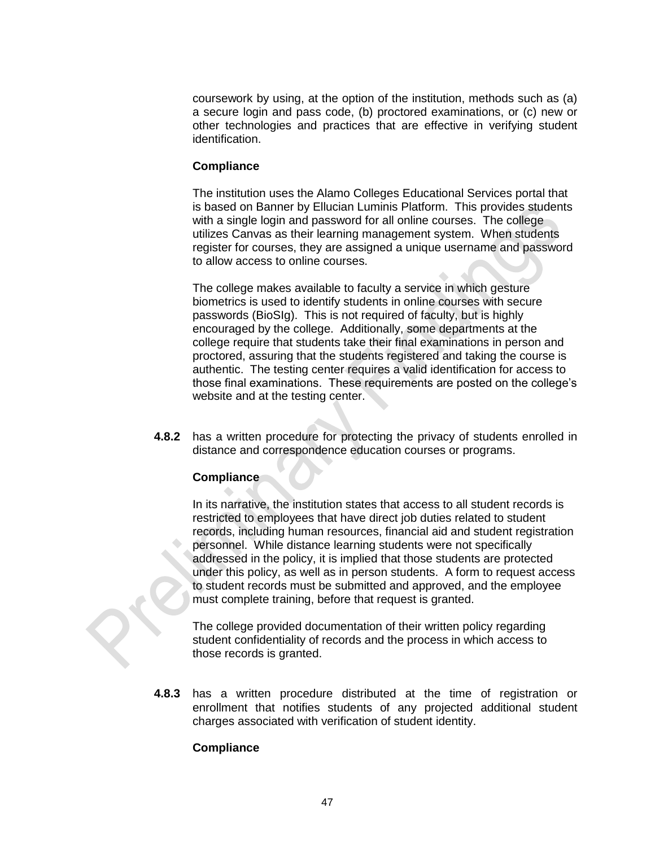coursework by using, at the option of the institution, methods such as (a) a secure login and pass code, (b) proctored examinations, or (c) new or other technologies and practices that are effective in verifying student identification.

#### **Compliance**

The institution uses the Alamo Colleges Educational Services portal that is based on Banner by Ellucian Luminis Platform. This provides students with a single login and password for all online courses. The college utilizes Canvas as their learning management system. When students register for courses, they are assigned a unique username and password to allow access to online courses.

The college makes available to faculty a service in which gesture biometrics is used to identify students in online courses with secure passwords (BioSIg). This is not required of faculty, but is highly encouraged by the college. Additionally, some departments at the college require that students take their final examinations in person and proctored, assuring that the students registered and taking the course is authentic. The testing center requires a valid identification for access to those final examinations. These requirements are posted on the college's website and at the testing center.

**4.8.2** has a written procedure for protecting the privacy of students enrolled in distance and correspondence education courses or programs.

# **Compliance**

In its narrative, the institution states that access to all student records is restricted to employees that have direct job duties related to student records, including human resources, financial aid and student registration personnel. While distance learning students were not specifically addressed in the policy, it is implied that those students are protected under this policy, as well as in person students. A form to request access to student records must be submitted and approved, and the employee must complete training, before that request is granted.

The college provided documentation of their written policy regarding student confidentiality of records and the process in which access to those records is granted.

**4.8.3** has a written procedure distributed at the time of registration or enrollment that notifies students of any projected additional student charges associated with verification of student identity.

# **Compliance**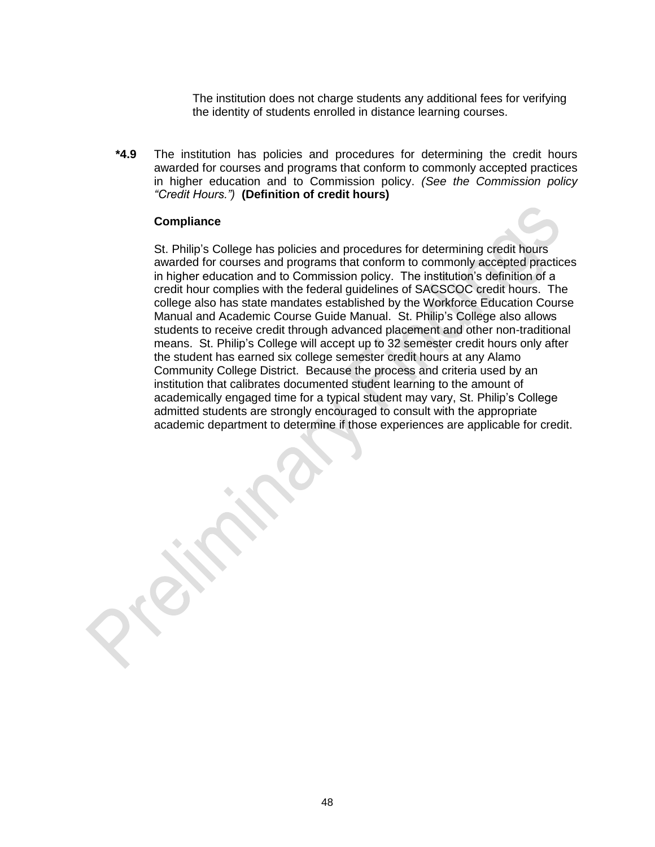The institution does not charge students any additional fees for verifying the identity of students enrolled in distance learning courses.

**\*4.9** The institution has policies and procedures for determining the credit hours awarded for courses and programs that conform to commonly accepted practices in higher education and to Commission policy. *(See the Commission policy "Credit Hours.")* **(Definition of credit hours)**

#### **Compliance**

St. Philip's College has policies and procedures for determining credit hours awarded for courses and programs that conform to commonly accepted practices in higher education and to Commission policy. The institution's definition of a credit hour complies with the federal guidelines of SACSCOC credit hours. The college also has state mandates established by the Workforce Education Course Manual and Academic Course Guide Manual. St. Philip's College also allows students to receive credit through advanced placement and other non-traditional means. St. Philip's College will accept up to 32 semester credit hours only after the student has earned six college semester credit hours at any Alamo Community College District. Because the process and criteria used by an institution that calibrates documented student learning to the amount of academically engaged time for a typical student may vary, St. Philip's College admitted students are strongly encouraged to consult with the appropriate academic department to determine if those experiences are applicable for credit.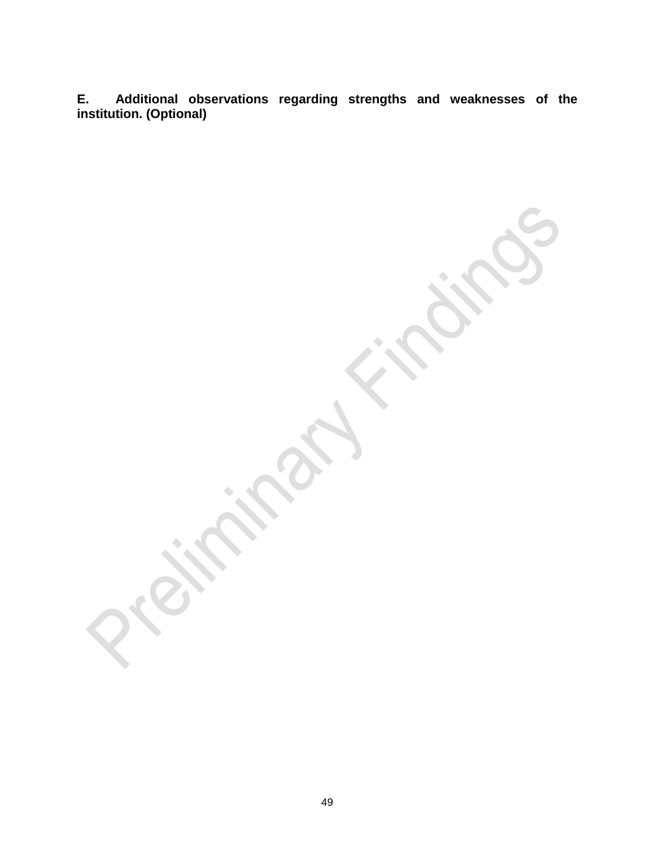**E. Additional observations regarding strengths and weaknesses of the institution. (Optional)**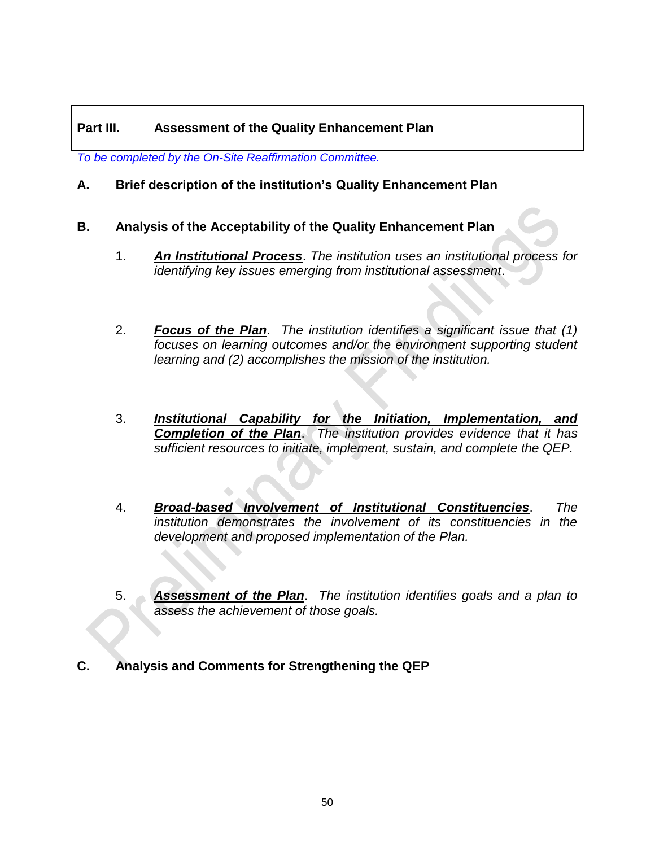# **Part III. Assessment of the Quality Enhancement Plan**

*To be completed by the On-Site Reaffirmation Committee.*

# **A. Brief description of the institution's Quality Enhancement Plan**

- **B. Analysis of the Acceptability of the Quality Enhancement Plan**
	- 1. *An Institutional Process*. *The institution uses an institutional process for identifying key issues emerging from institutional assessment*.
	- 2. *Focus of the Plan*. *The institution identifies a significant issue that (1) focuses on learning outcomes and/or the environment supporting student learning and (2) accomplishes the mission of the institution.*
	- 3. *Institutional Capability for the Initiation, Implementation, and Completion of the Plan*. *The institution provides evidence that it has sufficient resources to initiate, implement, sustain, and complete the QEP.*
	- 4. *Broad-based Involvement of Institutional Constituencies*. *The institution demonstrates the involvement of its constituencies in the development and proposed implementation of the Plan.*
	- 5. *Assessment of the Plan*. *The institution identifies goals and a plan to assess the achievement of those goals.*
- **C. Analysis and Comments for Strengthening the QEP**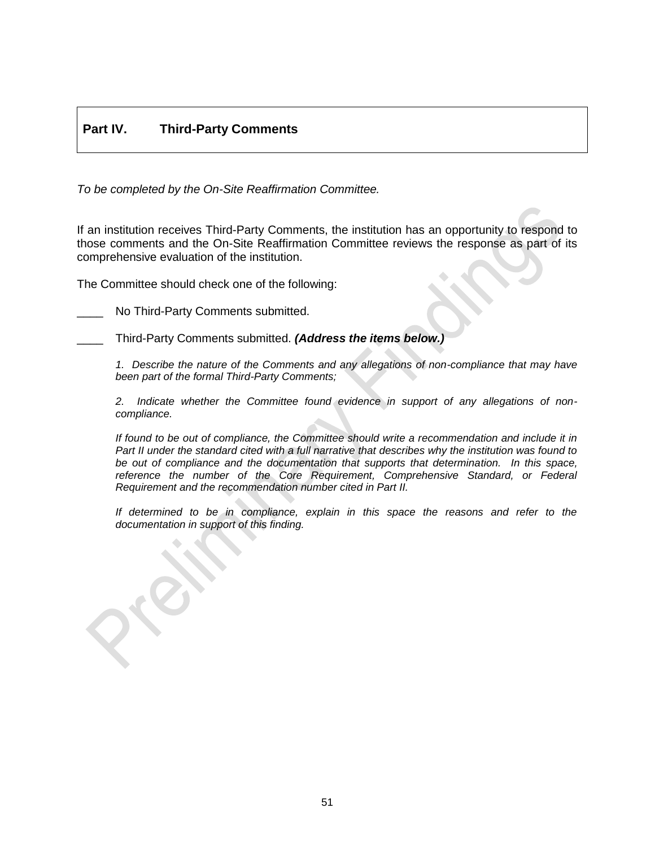# **Part IV. Third-Party Comments**

*To be completed by the On-Site Reaffirmation Committee.*

If an institution receives Third-Party Comments, the institution has an opportunity to respond to those comments and the On-Site Reaffirmation Committee reviews the response as part of its comprehensive evaluation of the institution.

The Committee should check one of the following:

No Third-Party Comments submitted.

\_\_\_\_ Third-Party Comments submitted. *(Address the items below.)*

*1. Describe the nature of the Comments and any allegations of non-compliance that may have been part of the formal Third-Party Comments;* 

*2. Indicate whether the Committee found evidence in support of any allegations of noncompliance.* 

*If found to be out of compliance, the Committee should write a recommendation and include it in Part II under the standard cited with a full narrative that describes why the institution was found to be out of compliance and the documentation that supports that determination. In this space,*  reference the number of the Core Requirement, Comprehensive Standard, or Federal *Requirement and the recommendation number cited in Part II.*

*If determined to be in compliance, explain in this space the reasons and refer to the documentation in support of this finding.*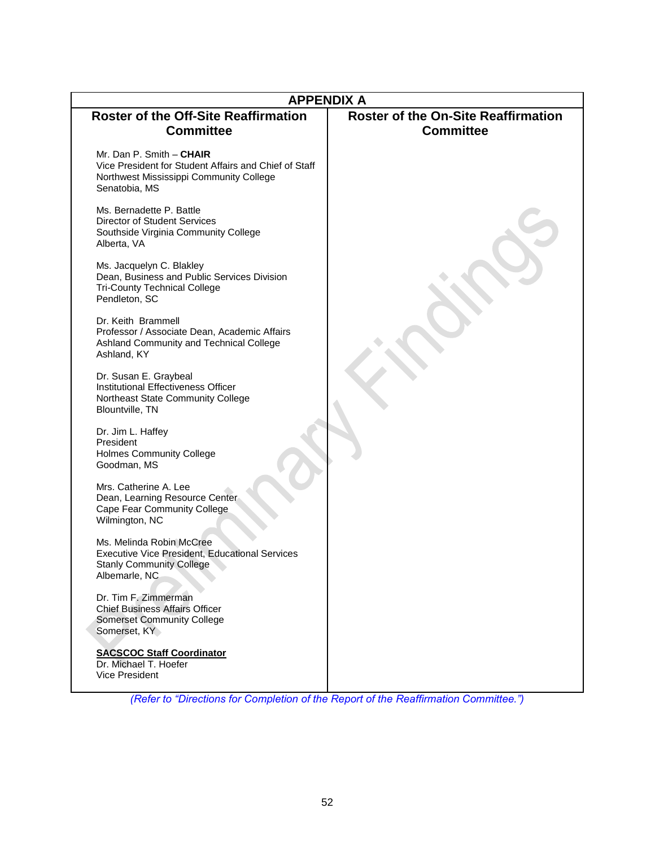| <b>APPENDIX A</b>                                                                                                                             |                                                                |  |  |
|-----------------------------------------------------------------------------------------------------------------------------------------------|----------------------------------------------------------------|--|--|
| <b>Roster of the Off-Site Reaffirmation</b><br><b>Committee</b>                                                                               | <b>Roster of the On-Site Reaffirmation</b><br><b>Committee</b> |  |  |
| Mr. Dan P. Smith - CHAIR<br>Vice President for Student Affairs and Chief of Staff<br>Northwest Mississippi Community College<br>Senatobia, MS |                                                                |  |  |
| Ms. Bernadette P. Battle<br>Director of Student Services<br>Southside Virginia Community College<br>Alberta, VA                               |                                                                |  |  |
| Ms. Jacquelyn C. Blakley<br>Dean, Business and Public Services Division<br><b>Tri-County Technical College</b><br>Pendleton, SC               |                                                                |  |  |
| Dr. Keith Brammell<br>Professor / Associate Dean, Academic Affairs<br>Ashland Community and Technical College<br>Ashland, KY                  |                                                                |  |  |
| Dr. Susan E. Graybeal<br>Institutional Effectiveness Officer<br>Northeast State Community College<br>Blountville, TN                          |                                                                |  |  |
| Dr. Jim L. Haffey<br>President<br><b>Holmes Community College</b><br>Goodman, MS                                                              |                                                                |  |  |
| Mrs. Catherine A. Lee<br>Dean, Learning Resource Center<br><b>Cape Fear Community College</b><br>Wilmington, NC                               |                                                                |  |  |
| Ms. Melinda Robin McCree<br><b>Executive Vice President, Educational Services</b><br><b>Stanly Community College</b><br>Albemarle, NC         |                                                                |  |  |
| Dr. Tim F. Zimmerman<br><b>Chief Business Affairs Officer</b><br><b>Somerset Community College</b><br>Somerset, KY                            |                                                                |  |  |
| <b>SACSCOC Staff Coordinator</b><br>Dr. Michael T. Hoefer<br>Vice President                                                                   |                                                                |  |  |

*(Refer to "Directions for Completion of the Report of the Reaffirmation Committee.")*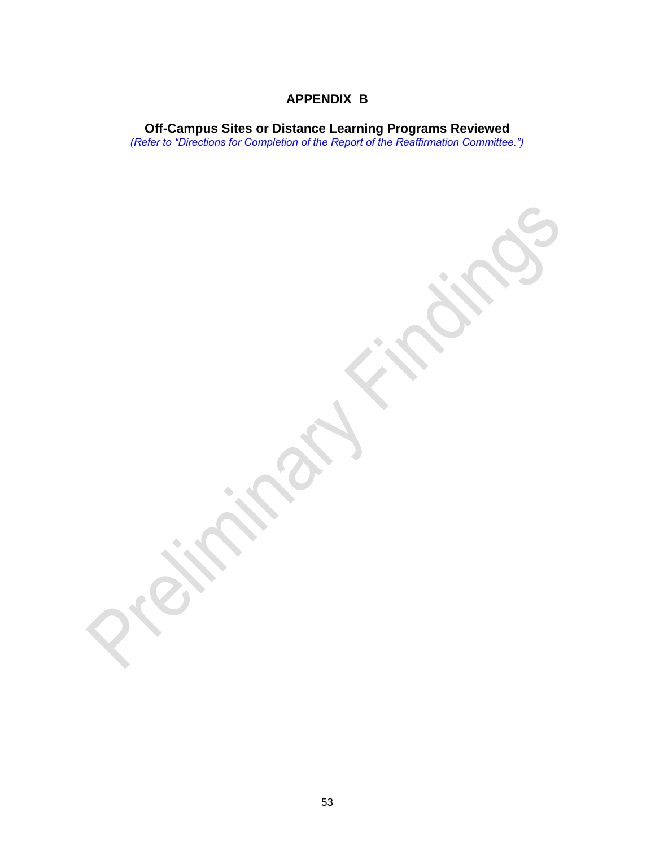# **APPENDIX B**

**Off-Campus Sites or Distance Learning Programs Reviewed** *(Refer to "Directions for Completion of the Report of the Reaffirmation Committee.")*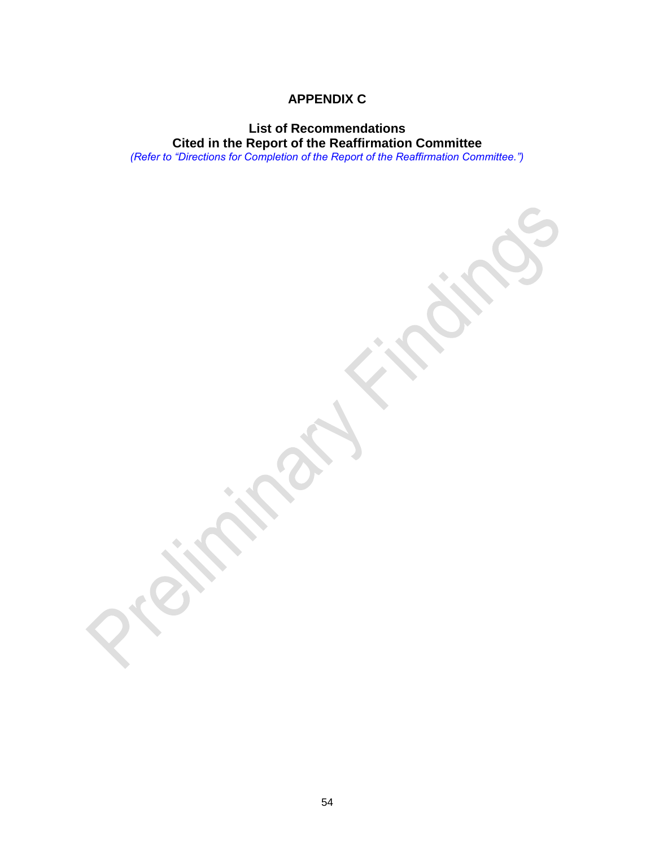# **APPENDIX C**

# **List of Recommendations Cited in the Report of the Reaffirmation Committee**

*(Refer to "Directions for Completion of the Report of the Reaffirmation Committee.")*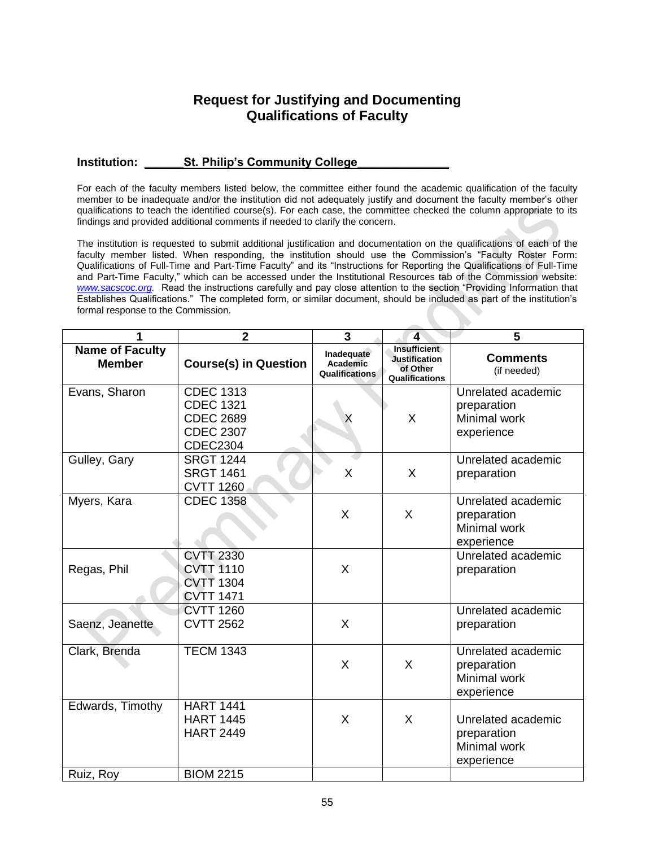# **Request for Justifying and Documenting Qualifications of Faculty**

#### **Institution: \_\_\_\_\_\_St. Philip's Community College\_\_\_\_\_\_\_\_\_\_\_\_\_\_**

For each of the faculty members listed below, the committee either found the academic qualification of the faculty member to be inadequate and/or the institution did not adequately justify and document the faculty member's other qualifications to teach the identified course(s). For each case, the committee checked the column appropriate to its findings and provided additional comments if needed to clarify the concern.

The institution is requested to submit additional justification and documentation on the qualifications of each of the faculty member listed. When responding, the institution should use the Commission's "Faculty Roster Form: Qualifications of Full-Time and Part-Time Faculty" and its "Instructions for Reporting the Qualifications of Full-Time and Part-Time Faculty," which can be accessed under the Institutional Resources tab of the Commission website: *[www.sacscoc.org.](http://www.sacscoc.org/)* Read the instructions carefully and pay close attention to the section "Providing Information that Establishes Qualifications." The completed form, or similar document, should be included as part of the institution's formal response to the Commission.

| 1                                       | $\mathbf{2}$                                                                                    | 3                                               | $\overline{\mathbf{4}}$                                                   | 5                                                                      |
|-----------------------------------------|-------------------------------------------------------------------------------------------------|-------------------------------------------------|---------------------------------------------------------------------------|------------------------------------------------------------------------|
| <b>Name of Faculty</b><br><b>Member</b> | <b>Course(s) in Question</b>                                                                    | Inadequate<br>Academic<br><b>Qualifications</b> | <b>Insufficient</b><br><b>Justification</b><br>of Other<br>Qualifications | <b>Comments</b><br>(if needed)                                         |
| Evans, Sharon                           | <b>CDEC 1313</b><br><b>CDEC 1321</b><br><b>CDEC 2689</b><br><b>CDEC 2307</b><br><b>CDEC2304</b> |                                                 | X                                                                         | Unrelated academic<br>preparation<br><b>Minimal work</b><br>experience |
| Gulley, Gary                            | <b>SRGT 1244</b><br><b>SRGT 1461</b><br><b>CVTT 1260</b>                                        | X                                               | X                                                                         | Unrelated academic<br>preparation                                      |
| Myers, Kara                             | <b>CDEC 1358</b>                                                                                | X                                               | X                                                                         | Unrelated academic<br>preparation<br>Minimal work<br>experience        |
| Regas, Phil                             | <b>CVTT 2330</b><br><b>CVTT 1110</b><br><b>CVTT 1304</b><br><b>CVTT 1471</b>                    | X                                               |                                                                           | Unrelated academic<br>preparation                                      |
| Saenz, Jeanette                         | <b>CVTT 1260</b><br><b>CVTT 2562</b>                                                            | X                                               |                                                                           | Unrelated academic<br>preparation                                      |
| Clark, Brenda                           | <b>TECM 1343</b>                                                                                | X                                               | X                                                                         | Unrelated academic<br>preparation<br>Minimal work<br>experience        |
| Edwards, Timothy<br>Ruiz, Roy           | <b>HART 1441</b><br><b>HART 1445</b><br><b>HART 2449</b><br><b>BIOM 2215</b>                    | X                                               | X                                                                         | Unrelated academic<br>preparation<br>Minimal work<br>experience        |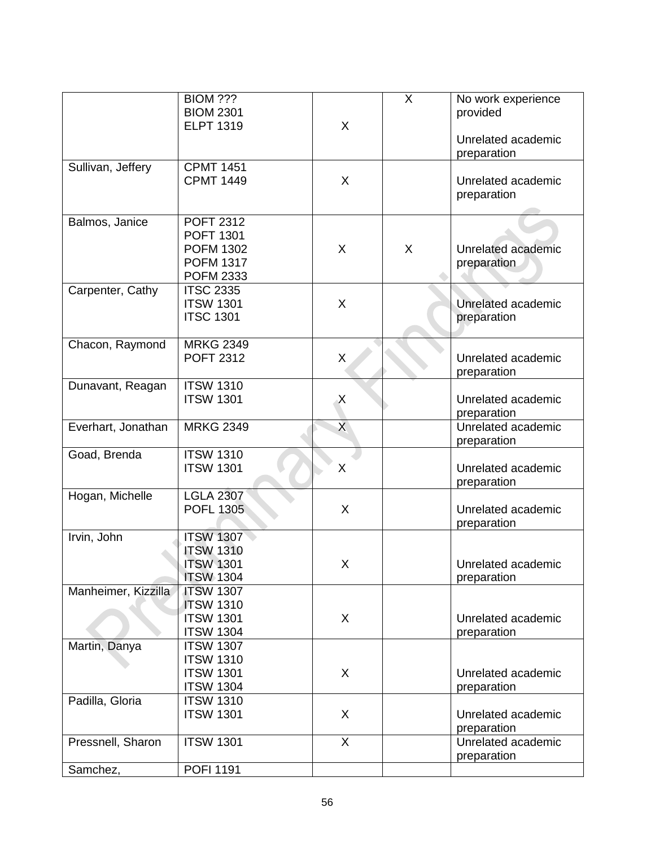|                     | <b>BIOM ???</b>                      |              | X | No work experience |
|---------------------|--------------------------------------|--------------|---|--------------------|
|                     | <b>BIOM 2301</b><br><b>ELPT 1319</b> | X            |   | provided           |
|                     |                                      |              |   | Unrelated academic |
|                     |                                      |              |   | preparation        |
| Sullivan, Jeffery   | <b>CPMT 1451</b>                     |              |   |                    |
|                     | <b>CPMT 1449</b>                     | X            |   | Unrelated academic |
|                     |                                      |              |   | preparation        |
|                     |                                      |              |   |                    |
| Balmos, Janice      | <b>POFT 2312</b><br><b>POFT 1301</b> |              |   |                    |
|                     | <b>POFM 1302</b>                     | X            | X | Unrelated academic |
|                     | <b>POFM 1317</b>                     |              |   | preparation        |
|                     | <b>POFM 2333</b>                     |              |   |                    |
| Carpenter, Cathy    | <b>ITSC 2335</b>                     |              |   |                    |
|                     | <b>ITSW 1301</b>                     | X            |   | Unrelated academic |
|                     | <b>ITSC 1301</b>                     |              |   | preparation        |
|                     |                                      |              |   |                    |
| Chacon, Raymond     | <b>MRKG 2349</b>                     |              |   |                    |
|                     | <b>POFT 2312</b>                     | X            |   | Unrelated academic |
|                     |                                      |              |   | preparation        |
| Dunavant, Reagan    | <b>ITSW 1310</b>                     |              |   |                    |
|                     | <b>ITSW 1301</b>                     | Χ            |   | Unrelated academic |
|                     |                                      |              |   | preparation        |
| Everhart, Jonathan  | <b>MRKG 2349</b>                     | X            |   | Unrelated academic |
|                     |                                      |              |   | preparation        |
| Goad, Brenda        | <b>ITSW 1310</b>                     |              |   |                    |
|                     | <b>ITSW 1301</b>                     | X            |   | Unrelated academic |
|                     | <b>LGLA 2307</b>                     |              |   | preparation        |
| Hogan, Michelle     | <b>POFL 1305</b>                     | X            |   | Unrelated academic |
|                     |                                      |              |   | preparation        |
| Irvin, John         | <b>ITSW 1307</b>                     |              |   |                    |
|                     | <b>ITSW 1310</b>                     |              |   |                    |
|                     | <b>ITSW 1301</b>                     | X            |   | Unrelated academic |
|                     | <b>ITSW 1304</b>                     |              |   | preparation        |
| Manheimer, Kizzilla | <b>ITSW 1307</b>                     |              |   |                    |
|                     | <b>ITSW 1310</b>                     |              |   |                    |
|                     | <b>ITSW 1301</b>                     | X            |   | Unrelated academic |
|                     | <b>ITSW 1304</b>                     |              |   | preparation        |
| Martin, Danya       | <b>ITSW 1307</b>                     |              |   |                    |
|                     | <b>ITSW 1310</b>                     |              |   |                    |
|                     | <b>ITSW 1301</b>                     | X            |   | Unrelated academic |
|                     | <b>ITSW 1304</b>                     |              |   | preparation        |
| Padilla, Gloria     | <b>ITSW 1310</b>                     |              |   |                    |
|                     | <b>ITSW 1301</b>                     | X            |   | Unrelated academic |
|                     |                                      |              |   | preparation        |
| Pressnell, Sharon   | <b>ITSW 1301</b>                     | $\mathsf{X}$ |   | Unrelated academic |
|                     |                                      |              |   | preparation        |
| Samchez,            | <b>POFI 1191</b>                     |              |   |                    |